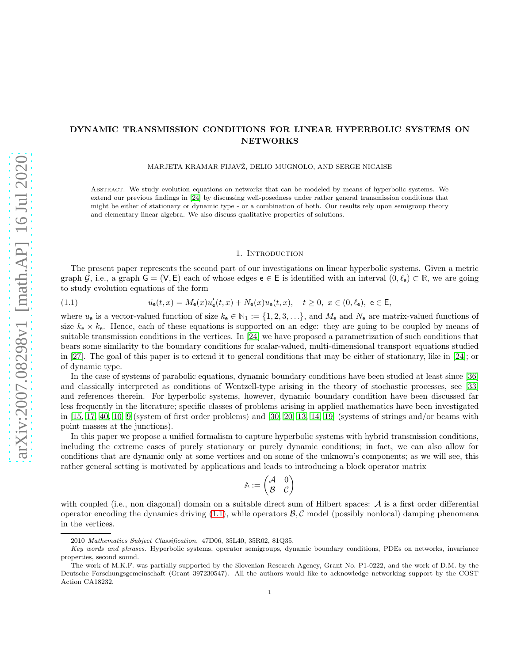# DYNAMIC TRANSMISSION CONDITIONS FOR LINEAR HYPERBOLIC SYSTEMS ON NETWORKS

MARJETA KRAMAR FIJAVŽ, DELIO MUGNOLO, AND SERGE NICAISE

ABSTRACT. We study evolution equations on networks that can be modeled by means of hyperbolic systems. We extend our previous findings in [\[24\]](#page-23-0) by discussing well-posedness under rather general transmission conditions that might be either of stationary or dynamic type - or a combination of both. Our results rely upon semigroup theory and elementary linear algebra. We also discuss qualitative properties of solutions.

### 1. INTRODUCTION

The present paper represents the second part of our investigations on linear hyperbolic systems. Given a metric graph G, i.e., a graph  $G = (V, E)$  each of whose edges  $e \in E$  is identified with an interval  $(0, \ell_e) \subset \mathbb{R}$ , we are going to study evolution equations of the form

<span id="page-0-0"></span>(1.1) 
$$
i_{\mathbf{e}}(t,x) = M_{\mathbf{e}}(x)u'_{\mathbf{e}}(t,x) + N_{\mathbf{e}}(x)u_{\mathbf{e}}(t,x), \quad t \ge 0, \ x \in (0,\ell_{\mathbf{e}}), \ \mathbf{e} \in \mathbf{E},
$$

where  $u_e$  is a vector-valued function of size  $k_e \in \mathbb{N}_1 := \{1, 2, 3, \ldots\}$ , and  $M_e$  and  $N_e$  are matrix-valued functions of size  $k_e \times k_e$ . Hence, each of these equations is supported on an edge: they are going to be coupled by means of suitable transmission conditions in the vertices. In [\[24\]](#page-23-0) we have proposed a parametrization of such conditions that bears some similarity to the boundary conditions for scalar-valued, multi-dimensional transport equations studied in [\[27\]](#page-24-0). The goal of this paper is to extend it to general conditions that may be either of stationary, like in [\[24\]](#page-23-0); or of dynamic type.

In the case of systems of parabolic equations, dynamic boundary conditions have been studied at least since [\[36\]](#page-24-1) and classically interpreted as conditions of Wentzell-type arising in the theory of stochastic processes, see [\[33\]](#page-24-2) and references therein. For hyperbolic systems, however, dynamic boundary condition have been discussed far less frequently in the literature; specific classes of problems arising in applied mathematics have been investigated in  $[15, 17, 40, 10, 9]$  $[15, 17, 40, 10, 9]$  $[15, 17, 40, 10, 9]$  $[15, 17, 40, 10, 9]$  $[15, 17, 40, 10, 9]$  (system of first order problems) and  $[30, 20, 13, 14, 19]$  $[30, 20, 13, 14, 19]$  $[30, 20, 13, 14, 19]$  $[30, 20, 13, 14, 19]$  $[30, 20, 13, 14, 19]$  (systems of strings and/or beams with point masses at the junctions).

In this paper we propose a unified formalism to capture hyperbolic systems with hybrid transmission conditions, including the extreme cases of purely stationary or purely dynamic conditions; in fact, we can also allow for conditions that are dynamic only at some vertices and on some of the unknown's components; as we will see, this rather general setting is motivated by applications and leads to introducing a block operator matrix

$$
\mathbb{A}:=\begin{pmatrix} \mathcal{A} & 0 \\ \mathcal{B} & \mathcal{C} \end{pmatrix}
$$

with coupled (i.e., non diagonal) domain on a suitable direct sum of Hilbert spaces:  $A$  is a first order differential operator encoding the dynamics driving  $(1.1)$ , while operators  $\mathcal{B}, \mathcal{C}$  model (possibly nonlocal) damping phenomena in the vertices.

<sup>2010</sup> Mathematics Subject Classification. 47D06, 35L40, 35R02, 81Q35.

Key words and phrases. Hyperbolic systems, operator semigroups, dynamic boundary conditions, PDEs on networks, invariance properties, second sound.

The work of M.K.F. was partially supported by the Slovenian Research Agency, Grant No. P1-0222, and the work of D.M. by the Deutsche Forschungsgemeinschaft (Grant 397230547). All the authors would like to acknowledge networking support by the COST Action CA18232.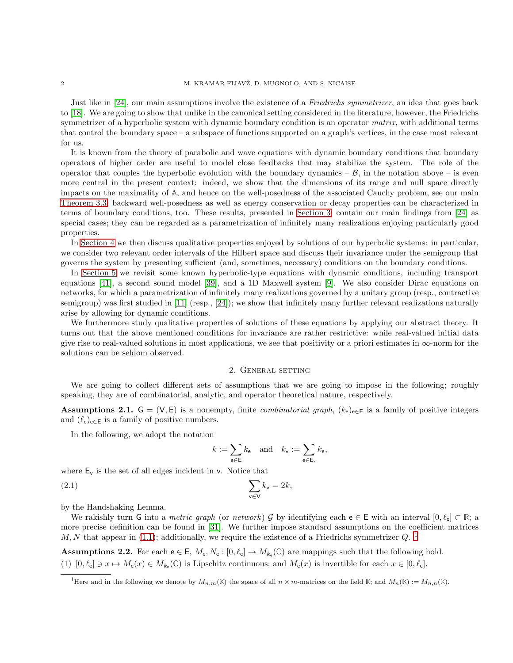Just like in [\[24\]](#page-23-0), our main assumptions involve the existence of a Friedrichs symmetrizer, an idea that goes back to [\[18\]](#page-23-9). We are going to show that unlike in the canonical setting considered in the literature, however, the Friedrichs symmetrizer of a hyperbolic system with dynamic boundary condition is an operator matrix, with additional terms that control the boundary space – a subspace of functions supported on a graph's vertices, in the case most relevant for us.

It is known from the theory of parabolic and wave equations with dynamic boundary conditions that boundary operators of higher order are useful to model close feedbacks that may stabilize the system. The role of the operator that couples the hyperbolic evolution with the boundary dynamics –  $\mathcal{B}$ , in the notation above – is even more central in the present context: indeed, we show that the dimensions of its range and null space directly impacts on the maximality of **A**, and hence on the well-posedness of the associated Cauchy problem, see our main [Theorem 3.3;](#page-5-0) backward well-posedness as well as energy conservation or decay properties can be characterized in terms of boundary conditions, too. These results, presented in [Section 3,](#page-3-0) contain our main findings from [\[24\]](#page-23-0) as special cases; they can be regarded as a parametrization of infinitely many realizations enjoying particularly good properties.

In [Section 4](#page-11-0) we then discuss qualitative properties enjoyed by solutions of our hyperbolic systems: in particular, we consider two relevant order intervals of the Hilbert space and discuss their invariance under the semigroup that governs the system by presenting sufficient (and, sometimes, necessary) conditions on the boundary conditions.

In [Section 5](#page-15-0) we revisit some known hyperbolic-type equations with dynamic conditions, including transport equations [\[41\]](#page-24-5), a second sound model [\[39\]](#page-24-6), and a 1D Maxwell system [\[9\]](#page-23-4). We also consider Dirac equations on networks, for which a parametrization of infinitely many realizations governed by a unitary group (resp., contractive semigroup) was first studied in [\[11\]](#page-23-10) (resp., [\[24\]](#page-23-0)); we show that infinitely many further relevant realizations naturally arise by allowing for dynamic conditions.

We furthermore study qualitative properties of solutions of these equations by applying our abstract theory. It turns out that the above mentioned conditions for invariance are rather restrictive: while real-valued initial data give rise to real-valued solutions in most applications, we see that positivity or a priori estimates in  $\infty$ -norm for the solutions can be seldom observed.

# 2. General setting

We are going to collect different sets of assumptions that we are going to impose in the following; roughly speaking, they are of combinatorial, analytic, and operator theoretical nature, respectively.

Assumptions 2.1.  $G = (V, E)$  is a nonempty, finite *combinatorial graph*,  $(k_e)_{e \in E}$  is a family of positive integers and  $(\ell_{e})_{e\in E}$  is a family of positive numbers.

In the following, we adopt the notation

$$
k:=\sum_{\mathsf{e}\in\mathsf{E}}k_\mathsf{e}\quad\text{and}\quad k_\mathsf{v}:=\sum_{\mathsf{e}\in\mathsf{E}_\mathsf{v}}k_\mathsf{e},
$$

where  $E_v$  is the set of all edges incident in v. Notice that

$$
\sum_{\mathsf{v}\in\mathsf{V}}k_{\mathsf{v}}=2k,
$$

by the Handshaking Lemma.

We rakishly turn G into a *metric graph* (or *network*) G by identifying each  $e \in E$  with an interval  $[0, \ell_e] \subset \mathbb{R}$ ; a more precise definition can be found in [\[31\]](#page-24-7). We further impose standard assumptions on the coefficient matrices M, N that appear in [\(1.1\)](#page-0-0); additionally, we require the existence of a Friedrichs symmetrizer  $Q$ .<sup>[1](#page-1-0)</sup>

<span id="page-1-1"></span>**Assumptions 2.2.** For each  $e \in E$ ,  $M_e$ ,  $N_e : [0, \ell_e] \to M_{k_e}(\mathbb{C})$  are mappings such that the following hold. (1)  $[0, \ell_e] \ni x \mapsto M_e(x) \in M_{k_e}(\mathbb{C})$  is Lipschitz continuous; and  $M_e(x)$  is invertible for each  $x \in [0, \ell_e]$ .

<span id="page-1-0"></span><sup>&</sup>lt;sup>1</sup>Here and in the following we denote by  $M_{n,m}(\mathbb{K})$  the space of all  $n \times m$ -matrices on the field  $\mathbb{K}$ ; and  $M_n(\mathbb{K}) := M_{n,n}(\mathbb{K})$ .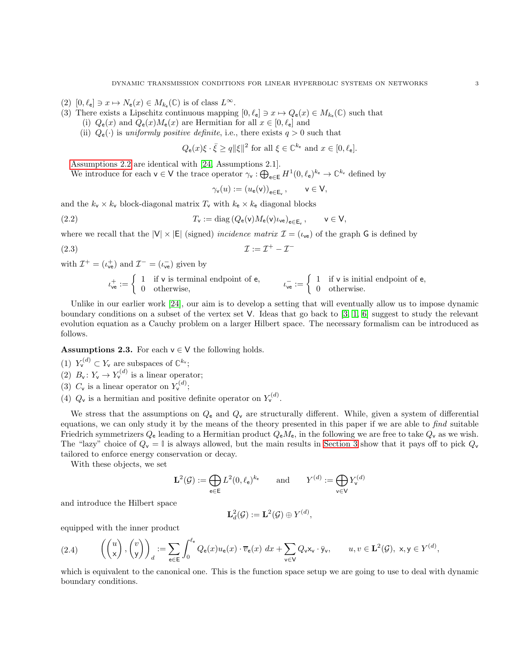(2)  $[0, \ell_{\mathsf{e}}] \ni x \mapsto N_{\mathsf{e}}(x) \in M_{k_{\mathsf{e}}}(\mathbb{C})$  is of class  $L^{\infty}$ .

(3) There exists a Lipschitz continuous mapping  $[0, \ell_e] \ni x \mapsto Q_e(x) \in M_{k_e}(\mathbb{C})$  such that

- (i)  $Q_{\mathbf{e}}(x)$  and  $Q_{\mathbf{e}}(x)M_{\mathbf{e}}(x)$  are Hermitian for all  $x \in [0, \ell_{\mathbf{e}}]$  and
- (ii)  $Q_e(\cdot)$  is uniformly positive definite, i.e., there exists  $q > 0$  such that

 $Q_{\mathsf{e}}(x)\xi \cdot \bar{\xi} \ge q \|\xi\|^2$  for all  $\xi \in \mathbb{C}^{k_{\mathsf{e}}}$  and  $x \in [0, \ell_{\mathsf{e}}].$ 

[Assumptions 2.2](#page-1-1) are identical with [\[24,](#page-23-0) Assumptions 2.1].

We introduce for each  $v \in V$  the trace operator  $\gamma_v : \bigoplus_{e \in E} H^1(0, \ell_e)^{k_e} \to \mathbb{C}^{k_v}$  defined by

<span id="page-2-2"></span>
$$
\gamma_{\operatorname{v}}(u):=\left(u_{\operatorname{e}}(\operatorname{v})\right)_{\operatorname{e}\in\mathsf{E}_{\operatorname{v}}},\qquad\operatorname{v}\in\mathsf{V},
$$

and the  $k_v \times k_v$  block-diagonal matrix  $T_v$  with  $k_e \times k_e$  diagonal blocks

(2.2) 
$$
T_{\mathsf{v}} := \text{diag}\left(Q_{\mathsf{e}}(\mathsf{v})M_{\mathsf{e}}(\mathsf{v})\iota_{\mathsf{ve}}\right)_{\mathsf{e}\in\mathsf{E}_{\mathsf{v}}}, \qquad \mathsf{v}\in\mathsf{V},
$$

where we recall that the  $|V| \times |E|$  (signed) incidence matrix  $\mathcal{I} = (\iota_{\mathsf{ve}})$  of the graph G is defined by

(2.3) I := I <sup>+</sup> − I<sup>−</sup>

with  $\mathcal{I}^+ = (\iota_{\mathsf{ve}}^+)$  and  $\mathcal{I}^- = (\iota_{\mathsf{ve}}^-)$  given by

 $\iota_{\mathsf{ve}}^+ := \left\{ \begin{array}{ll} 1 & \text{if } \mathsf{v} \text{ is terminal endpoint of } \mathsf{e}, \\ 0 & \text{otherwise}, \end{array} \right.$  $\overline{\mathbf{v}}_{\mathbf{e}} := \begin{cases} 1 & \text{if } \mathbf{v} \text{ is initial endpoint of } \mathbf{e}, \\ 0 & \text{otherwise.} \end{cases}$ 0 otherwise.

Unlike in our earlier work [\[24\]](#page-23-0), our aim is to develop a setting that will eventually allow us to impose dynamic boundary conditions on a subset of the vertex set V. Ideas that go back to [\[3,](#page-23-11) [1,](#page-23-12) [6\]](#page-23-13) suggest to study the relevant evolution equation as a Cauchy problem on a larger Hilbert space. The necessary formalism can be introduced as follows.

<span id="page-2-1"></span>Assumptions 2.3. For each  $v \in V$  the following holds.

(1)  $Y_{\mathsf{v}}^{(d)} \subset Y_{\mathsf{v}}$  are subspaces of  $\mathbb{C}^{k_{\mathsf{v}}};$ 

- (2)  $B_v: Y_v \to Y_v^{(d)}$  is a linear operator;
- (3)  $C_v$  is a linear operator on  $Y_v^{(d)}$ ;
- (4)  $Q_v$  is a hermitian and positive definite operator on  $Y_v^{(d)}$ .

We stress that the assumptions on  $Q_e$  and  $Q_v$  are structurally different. While, given a system of differential equations, we can only study it by the means of the theory presented in this paper if we are able to find suitable Friedrich symmetrizers  $Q_e$  leading to a Hermitian product  $Q_e M_e$ , in the following we are free to take  $Q_v$  as we wish. The "lazy" choice of  $Q_v = \mathbb{I}$  is always allowed, but the main results in [Section 3](#page-3-0) show that it pays off to pick  $Q_v$ tailored to enforce energy conservation or decay.

With these objects, we set

$$
\mathbf{L}^2(\mathcal{G}):=\bigoplus_{\mathsf{e}\in\mathsf{E}}L^2(0,\ell_\mathsf{e})^{k_\mathsf{e}}\qquad\text{and}\qquad Y^{(d)}:=\bigoplus_{\mathsf{v}\in\mathsf{V}}Y^{(d)}_\mathsf{v}
$$

and introduce the Hilbert space

$$
\mathbf{L}^2_d(\mathcal{G}) := \mathbf{L}^2(\mathcal{G}) \oplus Y^{(d)},
$$

equipped with the inner product

<span id="page-2-0"></span>
$$
(2.4) \qquad \left( \begin{pmatrix} u \\ x \end{pmatrix}, \begin{pmatrix} v \\ y \end{pmatrix} \right)_d := \sum_{e \in E} \int_0^{\ell_e} Q_e(x) u_e(x) \cdot \overline{v}_e(x) \, dx + \sum_{v \in V} Q_v x_v \cdot \overline{y}_v, \qquad u, v \in \mathbf{L}^2(\mathcal{G}), \ x, y \in Y^{(d)},
$$

which is equivalent to the canonical one. This is the function space setup we are going to use to deal with dynamic boundary conditions.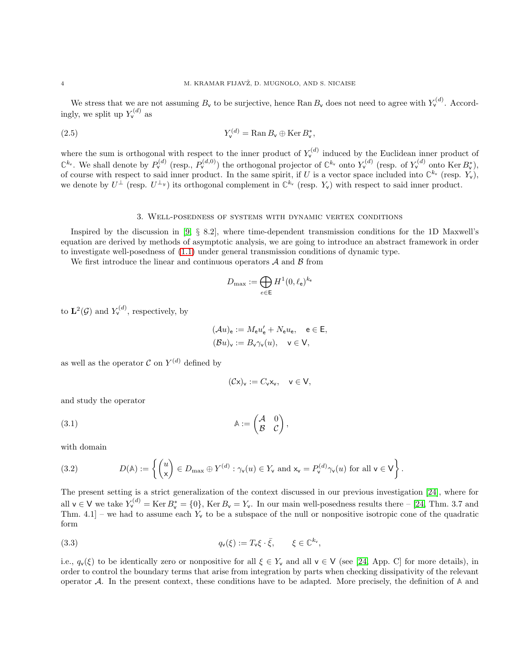We stress that we are not assuming  $B_v$  to be surjective, hence Ran  $B_v$  does not need to agree with  $Y_v^{(d)}$ . Accordingly, we split up  $Y_{\mathsf{v}}^{(d)}$  as

(2.5) 
$$
Y_{\mathsf{v}}^{(d)} = \text{Ran}\,B_{\mathsf{v}} \oplus \text{Ker}\,B_{\mathsf{v}}^*,
$$

where the sum is orthogonal with respect to the inner product of  $Y_{\mathsf{v}}^{(d)}$  induced by the Euclidean inner product of  $\mathbb{C}^{k_v}$ . We shall denote by  $P_v^{(d)}$  (resp.,  $P_v^{(d,0)}$ ) the orthogonal projector of  $\mathbb{C}^{k_v}$  onto  $Y_v^{(d)}$  (resp. of  $Y_v^{(d)}$  onto Ker  $B_v^*$ ), of course with respect to said inner product. In the same spirit, if U is a vector space included into  $\mathbb{C}^{k_v}$  (resp.  $Y_v$ ), we denote by  $U^{\perp}$  (resp.  $U^{\perp_y}$ ) its orthogonal complement in  $\mathbb{C}^{k_y}$  (resp.  $Y_y$ ) with respect to said inner product.

# <span id="page-3-1"></span>3. Well-posedness of systems with dynamic vertex conditions

<span id="page-3-0"></span>Inspired by the discussion in [\[9,](#page-23-4) § 8.2], where time-dependent transmission conditions for the 1D Maxwell's equation are derived by methods of asymptotic analysis, we are going to introduce an abstract framework in order to investigate well-posedness of [\(1.1\)](#page-0-0) under general transmission conditions of dynamic type.

We first introduce the linear and continuous operators  $A$  and  $B$  from

$$
D_{\max} := \bigoplus_{e \in \mathsf{E}} H^1(0, \ell_{\mathsf{e}})^{k_{\mathsf{e}}}
$$

to  $\mathbf{L}^2(\mathcal{G})$  and  $Y_{\mathsf{v}}^{(d)}$ , respectively, by

$$
(\mathcal{A}u)_{\mathsf{e}} := M_{\mathsf{e}}u_{\mathsf{e}}' + N_{\mathsf{e}}u_{\mathsf{e}}, \quad \mathsf{e} \in \mathsf{E},
$$
  

$$
(\mathcal{B}u)_{\mathsf{v}} := B_{\mathsf{v}}\gamma_{\mathsf{v}}(u), \quad \mathsf{v} \in \mathsf{V},
$$

as well as the operator  $\mathcal C$  on  $Y^{(d)}$  defined by

<span id="page-3-2"></span>
$$
(\mathcal{C} \times)_v := C_v \times_v, \quad v \in V,
$$

and study the operator

$$
\mathbb{A} := \begin{pmatrix} \mathcal{A} & 0 \\ \mathcal{B} & \mathcal{C} \end{pmatrix},
$$

with domain

(3.2) 
$$
D(\mathbb{A}) := \left\{ \begin{pmatrix} u \\ x \end{pmatrix} \in D_{\text{max}} \oplus Y^{(d)} : \gamma_v(u) \in Y_v \text{ and } x_v = P_v^{(d)} \gamma_v(u) \text{ for all } v \in V \right\}.
$$

The present setting is a strict generalization of the context discussed in our previous investigation [\[24\]](#page-23-0), where for all  $\mathsf{v} \in \mathsf{V}$  we take  $Y_{\mathsf{v}}^{(d)} = \text{Ker } B_{\mathsf{v}}^* = \{0\}, \text{Ker } B_{\mathsf{v}} = Y_{\mathsf{v}}.$  In our main well-posedness results there  $-$  [\[24,](#page-23-0) Thm. 3.7 and Thm. 4.1] – we had to assume each  $Y_v$  to be a subspace of the null or nonpositive isotropic cone of the quadratic form

<span id="page-3-3"></span>
$$
q_{\mathsf{v}}(\xi) := T_{\mathsf{v}}\xi \cdot \bar{\xi}, \qquad \xi \in \mathbb{C}^{k_{\mathsf{v}}},
$$

i.e.,  $q_v(\xi)$  to be identically zero or nonpositive for all  $\xi \in Y_v$  and all  $v \in V$  (see [\[24,](#page-23-0) App. C] for more details), in order to control the boundary terms that arise from integration by parts when checking dissipativity of the relevant operator A. In the present context, these conditions have to be adapted. More precisely, the definition of **A** and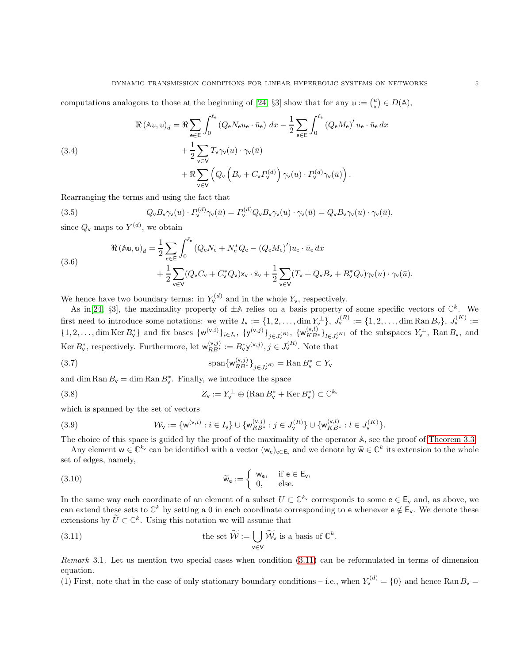computations analogous to those at the beginning of [\[24,](#page-23-0) §3] show that for any  $u := \binom{u}{x} \in D(\mathbb{A}),$ 

<span id="page-4-3"></span>(3.4)  
\n
$$
\Re(\mathbb{A}\mathbf{u}, \mathbf{u})_d = \Re \sum_{\mathbf{e} \in \mathbf{E}} \int_0^{\ell_{\mathbf{e}}} (Q_{\mathbf{e}} N_{\mathbf{e}} u_{\mathbf{e}} \cdot \bar{u}_{\mathbf{e}}) dx - \frac{1}{2} \sum_{\mathbf{e} \in \mathbf{E}} \int_0^{\ell_{\mathbf{e}}} (Q_{\mathbf{e}} M_{\mathbf{e}})' u_{\mathbf{e}} \cdot \bar{u}_{\mathbf{e}} dx \n+ \frac{1}{2} \sum_{v \in V} T_v \gamma_v(u) \cdot \gamma_v(\bar{u}) \n+ \Re \sum_{v \in V} \left( Q_v \left( B_v + C_v P_v^{(d)} \right) \gamma_v(u) \cdot P_v^{(d)} \gamma_v(\bar{u}) \right).
$$

Rearranging the terms and using the fact that

<span id="page-4-2"></span>(3.5) 
$$
Q_{\mathsf{v}}B_{\mathsf{v}}\gamma_{\mathsf{v}}(u)\cdot P_{\mathsf{v}}^{(d)}\gamma_{\mathsf{v}}(\bar{u})=P_{\mathsf{v}}^{(d)}Q_{\mathsf{v}}B_{\mathsf{v}}\gamma_{\mathsf{v}}(u)\cdot\gamma_{\mathsf{v}}(\bar{u})=Q_{\mathsf{v}}B_{\mathsf{v}}\gamma_{\mathsf{v}}(u)\cdot\gamma_{\mathsf{v}}(\bar{u}),
$$

since  $Q_{\mathsf{v}}$  maps to  $Y^{(d)}$ , we obtain

<span id="page-4-1"></span>(3.6)  
\n
$$
\Re (\mathbb{A}\mathbb{u}, \mathbb{u})_d = \frac{1}{2} \sum_{e \in E} \int_0^{\ell_e} (Q_e N_e + N_e^* Q_e - (Q_e M_e)') u_e \cdot \bar{u}_e \, dx + \frac{1}{2} \sum_{v \in V} (Q_v C_v + C_v^* Q_v) x_v \cdot \bar{x}_v + \frac{1}{2} \sum_{v \in V} (T_v + Q_v B_v + B_v^* Q_v) \gamma_v(u) \cdot \gamma_v(\bar{u}).
$$

We hence have two boundary terms: in  $Y_{\mathsf{v}}^{(d)}$  and in the whole  $Y_{\mathsf{v}}$ , respectively.

As in[\[24,](#page-23-0) §3], the maximality property of  $\pm \mathbb{A}$  relies on a basis property of some specific vectors of  $\mathbb{C}^k$ . We first need to introduce some notations: we write  $I_{\mathsf{v}} := \{1, 2, ..., \dim Y_{\mathsf{v}}^{\perp}\},\ J_{\mathsf{v}}^{(R)} := \{1, 2, ..., \dim \mathrm{Ran} B_{\mathsf{v}}\},\ J_{\mathsf{v}}^{(K)} :=$  $\{1, 2, \ldots, \dim \operatorname{Ker} B_{\mathsf{v}}^*\}\$ and fix bases  $\{\mathsf{w}^{(\mathsf{v},i)}\}_{i \in I_{\mathsf{v}}}, \{\mathsf{y}^{(\mathsf{v},j)}\}_{j \in J_{\mathsf{v}}^{(k)}}, \{\mathsf{w}^{(\mathsf{v},l)}_{KB}\}_{l \in J_{\mathsf{v}}^{(K)}}\}$  of the subspaces  $Y_{\mathsf{v}}^{\perp}$ , Ran  $B_{\mathsf{v}}$ , and Ker  $B_{\mathsf{v}}^*$ , respectively. Furthermore, let  $\mathsf{w}_{RB^*}^{(\mathsf{v},j)} := B_{\mathsf{v}}^* \mathsf{y}^{(\mathsf{v},j)}, j \in J_{\mathsf{v}}^{(R)}$ . Note that

(3.7) 
$$
\text{span}\{w_{RB^*}^{(v,j)}\}_{j\in J_v^{(R)}} = \text{Ran } B_v^* \subset Y_v
$$

and dim Ran  $B_{\mathsf{v}} = \dim \mathrm{Ran} B_{\mathsf{v}}^*$ . Finally, we introduce the space

<span id="page-4-4"></span>(3.8) 
$$
Z_{\mathsf{v}} := Y_{\mathsf{v}}^{\perp} \oplus (\operatorname{Ran} B_{\mathsf{v}}^* + \operatorname{Ker} B_{\mathsf{v}}^*) \subset \mathbb{C}^{k_{\mathsf{v}}}
$$

which is spanned by the set of vectors

(3.9) 
$$
\mathcal{W}_{\mathsf{v}} := \{ \mathsf{w}^{(\mathsf{v},i)} : i \in I_{\mathsf{v}} \} \cup \{ \mathsf{w}_{RB^*}^{(\mathsf{v},j)} : j \in J_{\mathsf{v}}^{(R)} \} \cup \{ \mathsf{w}_{KB^*}^{(\mathsf{v},l)} : l \in J_{\mathsf{v}}^{(K)} \}.
$$

The choice of this space is guided by the proof of the maximality of the operator **A**, see the proof of [Theorem 3.3.](#page-5-0)

Any element  $w \in \mathbb{C}^{k_v}$  can be identified with a vector  $(w_e)_{e \in E_v}$  and we denote by  $\widetilde{w} \in \mathbb{C}^k$  its extension to the whole set of edges, namely,

(3.10) 
$$
\widetilde{w}_e := \begin{cases} w_e, & \text{if } e \in E_v, \\ 0, & \text{else.} \end{cases}
$$

In the same way each coordinate of an element of a subset  $U \subset \mathbb{C}^{k_v}$  corresponds to some  $e \in E_v$  and, as above, we can extend these sets to  $\mathbb{C}^k$  by setting a 0 in each coordinate corresponding to **e** whenever  $e \notin E_v$ . We denote these extensions by  $\widetilde{U} \subset \mathbb{C}^k$ . Using this notation we will assume that

<span id="page-4-0"></span>(3.11) the set 
$$
\widetilde{\mathcal{W}} := \bigcup_{v \in V} \widetilde{\mathcal{W}}_v
$$
 is a basis of  $\mathbb{C}^k$ .

Remark 3.1. Let us mention two special cases when condition  $(3.11)$  can be reformulated in terms of dimension equation.

(1) First, note that in the case of only stationary boundary conditions – i.e., when  $Y_{\mathsf{v}}^{(d)} = \{0\}$  and hence Ran  $B_{\mathsf{v}} =$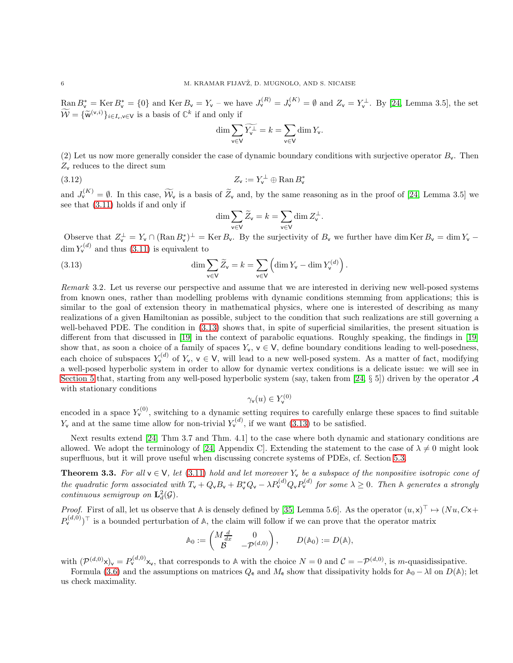$\text{Ran } B_{\mathsf{v}}^* = \text{Ker } B_{\mathsf{v}}^* = \{0\}$  and  $\text{Ker } B_{\mathsf{v}} = Y_{\mathsf{v}}$  – we have  $J_{\mathsf{v}}^{(R)} = J_{\mathsf{v}}^{(K)} = \emptyset$  and  $Z_{\mathsf{v}} = Y_{\mathsf{v}}^{\perp}$ . By [\[24,](#page-23-0) Lemma 3.5], the set  $\widetilde{\mathcal{W}} = {\{\widetilde{\mathsf{w}}^{(\mathsf{v},i)}\}_{i \in I_\mathsf{v},\mathsf{v} \in \mathsf{V}}}$  is a basis of  $\mathbb{C}^k$  if and only if

$$
\dim \sum_{v \in V} \widetilde{Y_v^{\perp}} = k = \sum_{v \in V} \dim Y_v.
$$

(2) Let us now more generally consider the case of dynamic boundary conditions with surjective operator  $B_{\mathbf{v}}$ . Then  $Z_{\rm v}$  reduces to the direct sum

 $Z_{\mathsf{v}} := Y_{\mathsf{v}}^{\perp} \oplus \operatorname{Ran} B_{\mathsf{v}}^*$ 

and  $J_{\mathsf{v}}^{(K)} = \emptyset$ . In this case,  $\widetilde{\mathcal{W}}_{\mathsf{v}}$  is a basis of  $\widetilde{\mathcal{Z}}_{\mathsf{v}}$  and, by the same reasoning as in the proof of [\[24,](#page-23-0) Lemma 3.5] we see that [\(3.11\)](#page-4-0) holds if and only if

<span id="page-5-2"></span><span id="page-5-1"></span>
$$
\dim \sum_{\mathsf{v}\in \mathsf{V}}\widetilde{Z}_{\mathsf{v}}=k=\sum_{\mathsf{v}\in \mathsf{V}}\dim Z_{\mathsf{v}}^{\perp}.
$$

Observe that  $Z_{\mathsf{v}}^{\perp} = Y_{\mathsf{v}} \cap (\text{Ran } B_{\mathsf{v}}^*)^{\perp} = \text{Ker } B_{\mathsf{v}}$ . By the surjectivity of  $B_{\mathsf{v}}$  we further have dim Ker  $B_{\mathsf{v}} = \dim Y_{\mathsf{v}} \dim Y_{\mathsf{v}}^{(d)}$  and thus  $(3.11)$  is equivalent to

(3.13) 
$$
\dim \sum_{v \in V} \widetilde{Z}_v = k = \sum_{v \in V} \left( \dim Y_v - \dim Y_v^{(d)} \right).
$$

<span id="page-5-3"></span>Remark 3.2. Let us reverse our perspective and assume that we are interested in deriving new well-posed systems from known ones, rather than modelling problems with dynamic conditions stemming from applications; this is similar to the goal of extension theory in mathematical physics, where one is interested of describing as many realizations of a given Hamiltonian as possible, subject to the condition that such realizations are still governing a well-behaved PDE. The condition in  $(3.13)$  shows that, in spite of superficial similarities, the present situation is different from that discussed in [\[19\]](#page-23-8) in the context of parabolic equations. Roughly speaking, the findings in [\[19\]](#page-23-8) show that, as soon a choice of a family of spaces  $Y_v$ ,  $v \in V$ , define boundary conditions leading to well-posedness, each choice of subspaces  $Y_{\mathsf{v}}^{(d)}$  of  $Y_{\mathsf{v}}$ ,  $\mathsf{v} \in \mathsf{V}$ , will lead to a new well-posed system. As a matter of fact, modifying a well-posed hyperbolic system in order to allow for dynamic vertex conditions is a delicate issue: we will see in [Section 5](#page-15-0) that, starting from any well-posed hyperbolic system (say, taken from [\[24,](#page-23-0)  $\S 5$ ]) driven by the operator  $A$ with stationary conditions

$$
\gamma_{\mathsf{v}}(u) \in Y_{\mathsf{v}}^{(0)}
$$

encoded in a space  $Y_v^{(0)}$ , switching to a dynamic setting requires to carefully enlarge these spaces to find suitable  $Y_{\mathsf{v}}$  and at the same time allow for non-trivial  $Y_{\mathsf{v}}^{(d)}$ , if we want [\(3.13\)](#page-5-1) to be satisfied.

Next results extend [\[24,](#page-23-0) Thm 3.7 and Thm. 4.1] to the case where both dynamic and stationary conditions are allowed. We adopt the terminology of [\[24,](#page-23-0) Appendix C]. Extending the statement to the case of  $\lambda \neq 0$  might look superfluous, but it will prove useful when discussing concrete systems of PDEs, cf. Section [5.3.](#page-18-0)

<span id="page-5-0"></span>**Theorem 3.3.** For all  $v \in V$ , let [\(3.11\)](#page-4-0) hold and let moreover  $Y_v$  be a subspace of the nonpositive isotropic cone of the quadratic form associated with  $T_{\mathsf{v}}+Q_{\mathsf{v}}B_{\mathsf{v}}+B_{\mathsf{v}}^*Q_{\mathsf{v}}-\lambda P_{\mathsf{v}}^{(d)}Q_{\mathsf{v}}P_{\mathsf{v}}^{(d)}$  for some  $\lambda\geq 0$ . Then  $\mathbb A$  generates a strongly continuous semigroup on  $\mathbf{L}^2_d(\mathcal{G})$ .

*Proof.* First of all, let us observe that  $\mathbb A$  is densely defined by [\[35,](#page-24-8) Lemma 5.6]. As the operator  $(u, x)^{\top} \mapsto (Nu, Cx +$  $P_{\mathsf{v}}^{(d,0)}$ <sup>⊤</sup> is a bounded perturbation of A, the claim will follow if we can prove that the operator matrix

$$
\mathbb{A}_0:=\begin{pmatrix} M\frac{d}{dx} & 0 \\ \mathcal{B} & -\mathcal{P}^{(d,0)} \end{pmatrix}, \qquad D(\mathbb{A}_0):=D(\mathbb{A}),
$$

with  $(\mathcal{P}^{(d,0)}\mathsf{x})_{\mathsf{v}} = P_{\mathsf{v}}^{(d,0)}\mathsf{x}_{\mathsf{v}}$ , that corresponds to A with the choice  $N=0$  and  $\mathcal{C}=-\mathcal{P}^{(d,0)}$ , is m-quasidissipative.

Formula [\(3.6\)](#page-4-1) and the assumptions on matrices  $Q_e$  and  $M_e$  show that dissipativity holds for  $A_0 - \lambda \mathbb{I}$  on  $D(\mathbb{A})$ ; let us check maximality.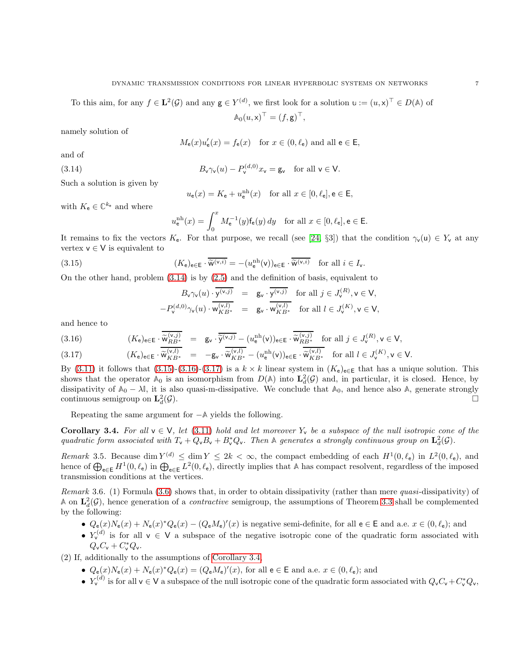To this aim, for any  $f \in \mathbf{L}^2(\mathcal{G})$  and any  $g \in Y^{(d)}$ , we first look for a solution  $u := (u, x)^\top \in D(\mathbb{A})$  of  $\mathbb{A}_0(u,\mathsf{x})^{\top} = (f,\mathsf{g})^{\top},$ 

namely solution of

$$
M_{\mathsf{e}}(x)u'_{\mathsf{e}}(x) = f_{\mathsf{e}}(x) \text{ for } x \in (0, \ell_{\mathsf{e}}) \text{ and all } \mathsf{e} \in \mathsf{E},
$$

and of  $(3.14)$ 

$$
B_{\mathsf{v}}\gamma_{\mathsf{v}}(u) - P_{\mathsf{v}}^{(d,0)}x_{\mathsf{v}} = \mathsf{g}_{\mathsf{v}} \quad \text{for all } \mathsf{v} \in \mathsf{V}.
$$

Such a solution is given by

<span id="page-6-0"></span>
$$
u_{\mathsf{e}}(x) = K_{\mathsf{e}} + u_{\mathsf{e}}^{\text{nh}}(x) \quad \text{for all } x \in [0, \ell_{\mathsf{e}}], \mathsf{e} \in \mathsf{E},
$$

with  $K_{e} \in \mathbb{C}^{k_{e}}$  and where

$$
u_{\mathsf{e}}^{\mathrm{nh}}(x) = \int_0^x M_{\mathsf{e}}^{-1}(y) \mathsf{f}_{\mathsf{e}}(y) \, dy \quad \text{for all } x \in [0, \ell_{\mathsf{e}}], \mathsf{e} \in \mathsf{E}.
$$

It remains to fix the vectors  $K_{e}$ . For that purpose, we recall (see [\[24,](#page-23-0) §3]) that the condition  $\gamma_{v}(u) \in Y_{v}$  at any vertex  $v \in V$  is equivalent to

(3.15) 
$$
(K_{e})_{e \in E} \cdot \overline{\widetilde{\mathsf{w}}^{(\mathsf{v},i)}} = -(u_{e}^{\text{nh}}(\mathsf{v}))_{e \in E} \cdot \overline{\widetilde{\mathsf{w}}^{(\mathsf{v},i)}} \quad \text{for all } i \in I_{\mathsf{v}}.
$$

On the other hand, problem  $(3.14)$  is by  $(2.5)$  and the definition of basis, equivalent to

<span id="page-6-2"></span><span id="page-6-1"></span>
$$
B_{\mathsf{v}}\gamma_{\mathsf{v}}(u) \cdot \overline{\mathsf{y}^{(\mathsf{v},j)}} = \mathsf{g}_{\mathsf{v}} \cdot \overline{\mathsf{y}^{(\mathsf{v},j)}} \quad \text{for all } j \in J_{\mathsf{v}}^{(R)}, \mathsf{v} \in \mathsf{V},
$$
\n
$$
-P_{\mathsf{v}}^{(d,0)}\gamma_{\mathsf{v}}(u) \cdot \overline{\mathsf{w}^{(\mathsf{v},l)}_{KB^*}} = \mathsf{g}_{\mathsf{v}} \cdot \overline{\mathsf{w}^{(\mathsf{v},l)}_{KB^*}} \quad \text{for all } l \in J_{\mathsf{v}}^{(K)}, \mathsf{v} \in \mathsf{V},
$$

and hence to

$$
(3.16) \qquad \qquad (K_{\mathsf{e}})_{\mathsf{e}\in\mathsf{E}}\cdot\overline{\widetilde{\mathsf{w}}_{RB^*}^{(\mathsf{v},j)}}\quad =\quad \mathsf{g}_{\mathsf{v}}\cdot\overline{\widetilde{\mathsf{y}}^{(\mathsf{v},j)}}-\left(u_{\mathsf{e}}^{\mathrm{nh}}(\mathsf{v})\right)_{\mathsf{e}\in\mathsf{E}}\cdot\overline{\widetilde{\mathsf{w}}_{RB^*}^{(\mathsf{v},j)}}\quad \text{for all }j\in J_{\mathsf{v}}^{(R)}, \mathsf{v}\in\mathsf{V},
$$

$$
(3.17) \qquad (K_{\mathbf{e}})_{\mathbf{e}\in\mathbf{E}} \cdot \overline{\widetilde{\mathsf{w}}_{KB^*}^{(\mathsf{v},l)}} = -\mathsf{g}_{\mathsf{v}} \cdot \overline{\widetilde{\mathsf{w}}_{KB^*}^{(\mathsf{v},l)}} - (u_{\mathsf{e}}^{\mathrm{nh}}(\mathsf{v}))_{\mathsf{e}\in\mathbf{E}} \cdot \overline{\widetilde{\mathsf{w}}_{KB^*}^{(\mathsf{v},l)}} \quad \text{for all } l \in J_{\mathsf{v}}^{(K)}, \mathsf{v} \in \mathsf{V}.
$$

By [\(3.11\)](#page-4-0) it follows that [\(3.15\)](#page-6-1)-[\(3.16\)](#page-6-2)-[\(3.17\)](#page-6-2) is a  $k \times k$  linear system in  $(K_e)_{e \in E}$  that has a unique solution. This shows that the operator  $A_0$  is an isomorphism from  $D(A)$  into  $\mathbf{L}_d^2(\mathcal{G})$  and, in particular, it is closed. Hence, by dissipativity of  $A_0 - \lambda I$ , it is also quasi-m-dissipative. We conclude that  $A_0$ , and hence also A, generate strongly continuous semigroup on  $\mathbf{L}^2_d$  $(\mathcal{G}).$ 

Repeating the same argument for −**A** yields the following.

<span id="page-6-3"></span>Corollary 3.4. For all  $v \in V$ , let [\(3.11\)](#page-4-0) hold and let moreover  $Y_v$  be a subspace of the null isotropic cone of the quadratic form associated with  $T_v + Q_v B_v + B_v^* Q_v$ . Then A generates a strongly continuous group on  $L_d^2(G)$ .

Remark 3.5. Because dim  $Y^{(d)} \n\t\leq \dim Y \leq 2k < \infty$ , the compact embedding of each  $H^1(0, \ell_e)$  in  $L^2(0, \ell_e)$ , and hence of  $\bigoplus_{e \in E} H^1(0, \ell_e)$  in  $\bigoplus_{e \in E} L^2(0, \ell_e)$ , directly implies that  $\mathbb A$  has compact resolvent, regardless of the imposed transmission conditions at the vertices.

<span id="page-6-4"></span>Remark 3.6. (1) Formula  $(3.6)$  shows that, in order to obtain dissipativity (rather than mere quasi-dissipativity) of A on  $\mathbf{L}^2_d(\mathcal{G})$ , hence generation of a *contractive* semigroup, the assumptions of Theorem [3.3](#page-5-0) shall be complemented by the following:

- $Q_{\mathbf{e}}(x)N_{\mathbf{e}}(x) + N_{\mathbf{e}}(x)^{*}Q_{\mathbf{e}}(x) (Q_{\mathbf{e}}M_{\mathbf{e}})'(x)$  is negative semi-definite, for all  $\mathbf{e} \in \mathsf{E}$  and a.e.  $x \in (0, \ell_{\mathbf{e}});$  and
- $Y_{\mathsf{v}}^{(d)}$  is for all  $\mathsf{v} \in \mathsf{V}$  a subspace of the negative isotropic cone of the quadratic form associated with  $Q_{\mathsf{v}}C_{\mathsf{v}}+C_{\mathsf{v}}^*Q_{\mathsf{v}}.$

(2) If, additionally to the assumptions of [Corollary 3.4,](#page-6-3)

- $Q_{\mathsf{e}}(x)N_{\mathsf{e}}(x) + N_{\mathsf{e}}(x)^*Q_{\mathsf{e}}(x) = (Q_{\mathsf{e}}M_{\mathsf{e}})'(x)$ , for all  $e \in \mathsf{E}$  and a.e.  $x \in (0,\ell_{\mathsf{e}})$ ; and
- $Y_{\mathsf{v}}^{(d)}$  is for all  $\mathsf{v} \in \mathsf{V}$  a subspace of the null isotropic cone of the quadratic form associated with  $Q_{\mathsf{v}}C_{\mathsf{v}}+C_{\mathsf{v}}^*Q_{\mathsf{v}}$ ,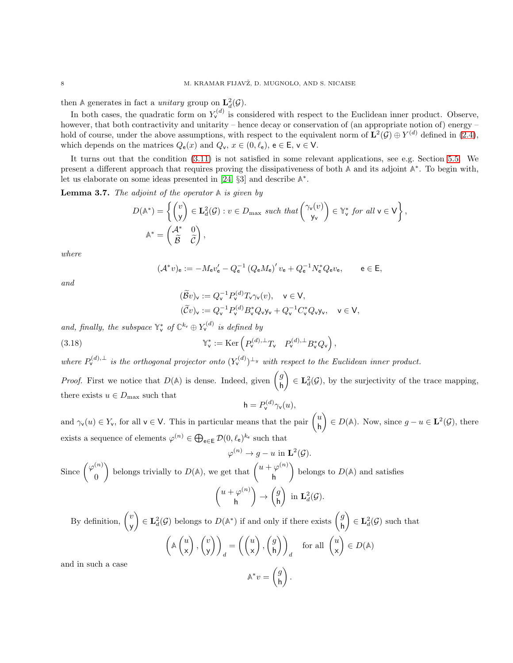then A generates in fact a *unitary* group on  $\mathbf{L}_d^2(\mathcal{G})$ .

In both cases, the quadratic form on  $Y_{\mathsf{v}}^{(d)}$  is considered with respect to the Euclidean inner product. Observe, however, that both contractivity and unitarity – hence decay or conservation of (an appropriate notion of) energy – hold of course, under the above assumptions, with respect to the equivalent norm of  $\mathbf{L}^2(\mathcal{G}) \oplus Y^{(d)}$  defined in [\(2.4\)](#page-2-0), which depends on the matrices  $Q_{e}(x)$  and  $Q_{v}$ ,  $x \in (0, \ell_{e})$ ,  $e \in E$ ,  $v \in V$ .

It turns out that the condition [\(3.11\)](#page-4-0) is not satisfied in some relevant applications, see e.g. Section [5.5.](#page-22-0) We present a different approach that requires proving the dissipativeness of both **A** and its adjoint **A** ∗ . To begin with, let us elaborate on some ideas presented in [\[24,](#page-23-0) §3] and describe **A** ∗ .

<span id="page-7-0"></span>Lemma 3.7. The adjoint of the operator **A** is given by

$$
D(\mathbb{A}^*) = \left\{ \begin{pmatrix} v \\ y \end{pmatrix} \in \mathbf{L}_d^2(\mathcal{G}) : v \in D_{\text{max}} \text{ such that } \begin{pmatrix} \gamma_v(v) \\ y_v \end{pmatrix} \in \mathbb{Y}_v^* \text{ for all } v \in V \right\},\
$$

$$
\mathbb{A}^* = \begin{pmatrix} \mathcal{A}^* & 0 \\ \tilde{\mathcal{B}} & \tilde{\mathcal{C}} \end{pmatrix},
$$

where

$$
(\mathcal{A}^* v)_e := -M_e v'_e - Q_e^{-1} (Q_e M_e)' v_e + Q_e^{-1} N_e^* Q_e v_e, \qquad e \in \mathsf{E},
$$

and

<span id="page-7-1"></span>
$$
\begin{aligned} (\widetilde{\mathcal{B}}v)_{\mathsf{v}} &:= Q_{\mathsf{v}}^{-1} P_{\mathsf{v}}^{(d)} T_{\mathsf{v}} \gamma_{\mathsf{v}}(v), \quad \mathsf{v} \in \mathsf{V}, \\ (\widetilde{\mathcal{C}}v)_{\mathsf{v}} &:= Q_{\mathsf{v}}^{-1} P_{\mathsf{v}}^{(d)} B_{\mathsf{v}}^* Q_{\mathsf{v}} \mathsf{y}_{\mathsf{v}} + Q_{\mathsf{v}}^{-1} C_{\mathsf{v}}^* Q_{\mathsf{v}} \mathsf{y}_{\mathsf{v}}, \quad \mathsf{v} \in \mathsf{V}, \end{aligned}
$$

and, finally, the subspace  $\mathbb{Y}_{\mathsf{v}}^*$  of  $\mathbb{C}^{k_{\mathsf{v}}} \oplus Y_{\mathsf{v}}^{(d)}$  is defined by

(3.18) 
$$
\mathbb{Y}_{\mathsf{v}}^* := \text{Ker}\left(P_{\mathsf{v}}^{(d),\perp}T_{\mathsf{v}} \quad P_{\mathsf{v}}^{(d),\perp}B_{\mathsf{v}}^*Q_{\mathsf{v}}\right),
$$

where  $P_{\mathsf{v}}^{(d),\perp}$  is the orthogonal projector onto  $(Y_{\mathsf{v}}^{(d)})^{\perp_y}$  with respect to the Euclidean inner product.

*Proof.* First we notice that  $D(\mathbb{A})$  is dense. Indeed, given  $\begin{pmatrix} g \\ h \end{pmatrix}$ h  $\overline{\phantom{0}}$  $\in L_d^2(\mathcal{G})$ , by the surjectivity of the trace mapping, there exists  $u\in D_{\max}$  such that

$$
\mathsf{h} = P_{\mathsf{v}}^{(d)} \gamma_{\mathsf{v}}(u),
$$

and  $\gamma_{\mathsf{v}}(u) \in Y_{\mathsf{v}}$ , for all  $\mathsf{v} \in \mathsf{V}$ . This in particular means that the pair  $\begin{pmatrix} u \\ \mathsf{h} \end{pmatrix}$ h  $\Big) \in D(\mathbb{A})$ . Now, since  $g - u \in \mathbf{L}^2(\mathcal{G})$ , there exists a sequence of elements  $\varphi^{(n)} \in \bigoplus_{e \in E} \mathcal{D}(0, \ell_e)^{k_e}$  such that

$$
\varphi^{(n)} \to g - u \text{ in } \mathbf{L}^2(\mathcal{G}).
$$
  
Since  $\begin{pmatrix} \varphi^{(n)} \\ 0 \end{pmatrix}$  belongs trivially to  $D(\mathbb{A})$ , we get that  $\begin{pmatrix} u + \varphi^{(n)} \\ h \end{pmatrix}$  belongs to  $D(\mathbb{A})$  and satisfies  
 $\begin{pmatrix} u + \varphi^{(n)} \\ h \end{pmatrix} \to \begin{pmatrix} g \\ h \end{pmatrix}$  in  $\mathbf{L}^2_d(\mathcal{G})$ .  
For definition,  $\begin{pmatrix} v \\ h \end{pmatrix} \in \mathbf{L}^2(\mathcal{G})$  belongs to  $\mathbf{L}^2(\mathcal{G})$  such that  $\mathbf{L}^2(\mathcal{G}) = \begin{pmatrix} v \\ h \end{pmatrix} \in \mathbf{L}^2(\mathcal{G})$ .

By definition,  $\begin{pmatrix} v \\ v \end{pmatrix}$ y  $\in L^2_d(\mathcal{G})$  belongs to  $D(\mathbb{A}^*)$  if and only if there exists  $\begin{pmatrix} g \\ h \end{pmatrix}$ h  $\in L_d^2(\mathcal{G})$  such that  $\int_{\mathbb{A}} \int u$ x  $\lambda$ ,  $\sqrt{v}$ y  $\left\langle \right\rangle$ d  $=\int\int\limits_{u}^{u}$ x  $\overline{ }$ ,  $\int_{a}$ h  $\left\langle \right\rangle$ d for all  $\begin{pmatrix} u \\ u \end{pmatrix}$ x  $\Big) ∈ D(A)$ 

and in such a case

$$
\mathbb{A}^*v=\begin{pmatrix} g \\ \mathsf{h} \end{pmatrix}.
$$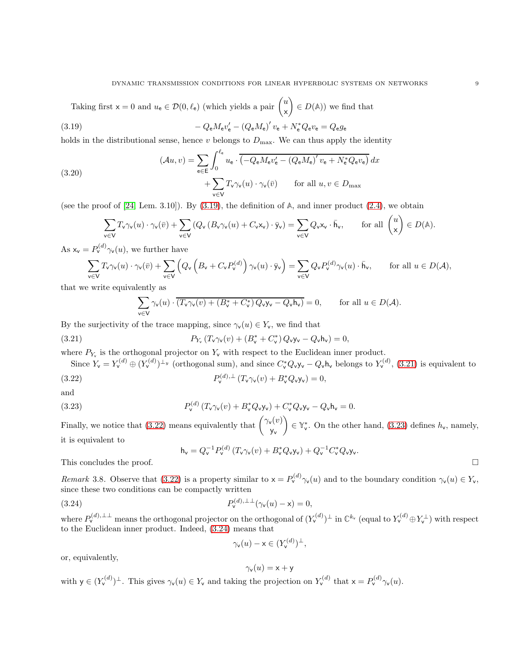Taking first  $x = 0$  and  $u_e \in \mathcal{D}(0, \ell_e)$  (which yields a pair  $\begin{pmatrix} u \\ v \end{pmatrix}$ x  $\Big) \in D(\mathbb{A})$  we find that

(3.19) 
$$
-Q_{\mathbf{e}}M_{\mathbf{e}}v_{\mathbf{e}}' - (Q_{\mathbf{e}}M_{\mathbf{e}})'v_{\mathbf{e}} + N_{\mathbf{e}}^*Q_{\mathbf{e}}v_{\mathbf{e}} = Q_{\mathbf{e}}g_{\mathbf{e}}
$$

holds in the distributional sense, hence v belongs to  $D_{\text{max}}$ . We can thus apply the identity

(3.20)  
\n
$$
(\mathcal{A}u, v) = \sum_{e \in E} \int_0^{\ell_e} u_e \cdot \overline{(-Q_e M_e v'_e - (Q_e M_e)' v_e + N_e^* Q_e v_e)} dx + \sum_{v \in V} T_v \gamma_v(u) \cdot \gamma_v(\bar{v}) \quad \text{for all } u, v \in D_{\text{max}}
$$

(see the proof of [\[24,](#page-23-0) Lem. 3.10]). By [\(3.19\)](#page-8-0), the definition of **A**, and inner product [\(2.4\)](#page-2-0), we obtain

<span id="page-8-0"></span>
$$
\sum_{\mathbf{v}\in \mathbf{V}} T_{\mathbf{v}}\gamma_{\mathbf{v}}(u)\cdot \gamma_{\mathbf{v}}(\bar{v})+\sum_{\mathbf{v}\in \mathbf{V}}\left(Q_{\mathbf{v}}\left(B_{\mathbf{v}}\gamma_{\mathbf{v}}(u)+C_{\mathbf{v}}\mathbf{x}_{\mathbf{v}}\right)\cdot \bar{\mathbf{y}}_{\mathbf{v}}\right)=\sum_{\mathbf{v}\in \mathbf{V}}Q_{\mathbf{v}}\mathbf{x}_{\mathbf{v}}\cdot \bar{\mathbf{h}}_{\mathbf{v}},\qquad \text{for all }\begin{pmatrix} u\\ \mathbf{x} \end{pmatrix}\in D(\mathbb{A}).
$$

As  $x_v = P_v^{(d)} \gamma_v(u)$ , we further have

$$
\sum_{v \in V} T_v \gamma_v(u) \cdot \gamma_v(\bar{v}) + \sum_{v \in V} \left( Q_v \left( B_v + C_v P_v^{(d)} \right) \gamma_v(u) \cdot \bar{y}_v \right) = \sum_{v \in V} Q_v P_v^{(d)} \gamma_v(u) \cdot \bar{h}_v, \quad \text{for all } u \in D(\mathcal{A}),
$$

that we write equivalently as

<span id="page-8-1"></span>
$$
\sum_{v \in V} \gamma_v(u) \cdot \overline{(T_v \gamma_v(v) + (B_v^* + C_v^*))Q_v y_v - Q_v h_v)} = 0, \quad \text{for all } u \in D(\mathcal{A}).
$$

By the surjectivity of the trace mapping, since  $\gamma_{\mathsf{v}}(u) \in Y_{\mathsf{v}}$ , we find that

(3.21) 
$$
P_{Y_v}(T_v\gamma_v(v) + (B_v^* + C_v^*)Q_vy_v - Q_vh_v) = 0,
$$

where  $P_{Y_v}$  is the orthogonal projector on  $Y_v$  with respect to the Euclidean inner product.

Since  $Y_{\mathsf{v}} = Y_{\mathsf{v}}^{(d)} \oplus (Y_{\mathsf{v}}^{(d)})^{\perp_{y}}$  (orthogonal sum), and since  $C_{\mathsf{v}}^* Q_{\mathsf{v}} \mathsf{y}_{\mathsf{v}} - Q_{\mathsf{v}} \mathsf{h}_{\mathsf{v}}$  belongs to  $Y_{\mathsf{v}}^{(d)}$ , [\(3.21\)](#page-8-1) is equivalent to

(3.22) 
$$
P_{\mathsf{v}}^{(d),\perp}(T_{\mathsf{v}}\gamma_{\mathsf{v}}(v)+B_{\mathsf{v}}^*Q_{\mathsf{v}}\mathsf{y}_{\mathsf{v}})=0,
$$

and

(3.23) 
$$
P_{\mathsf{v}}^{(d)}(T_{\mathsf{v}}\gamma_{\mathsf{v}}(v)+B_{\mathsf{v}}^*Q_{\mathsf{v}}\mathsf{y}_{\mathsf{v}})+C_{\mathsf{v}}^*Q_{\mathsf{v}}\mathsf{y}_{\mathsf{v}}-Q_{\mathsf{v}}\mathsf{h}_{\mathsf{v}}=0.
$$

Finally, we notice that [\(3.22\)](#page-8-2) means equivalently that  $\begin{pmatrix} \gamma_v(v) \\ \vdots \end{pmatrix}$ yv  $\Big) \in \mathbb{Y}_{\mathsf{v}}^*$ . On the other hand, [\(3.23\)](#page-8-3) defines  $h_{\mathsf{v}}$ , namely, it is equivalent to

<span id="page-8-3"></span><span id="page-8-2"></span>
$$
h_v = Q_v^{-1} P_v^{(d)} (T_v \gamma_v(v) + B_v^* Q_v y_v) + Q_v^{-1} C_v^* Q_v y_v.
$$

This concludes the proof.  $\Box$ 

Remark 3.8. Observe that [\(3.22\)](#page-8-2) is a property similar to  $x = P_v^{(d)} \gamma_v(u)$  and to the boundary condition  $\gamma_v(u) \in Y_v$ , since these two conditions can be compactly written

(3.24) 
$$
P_{v}^{(d), \perp \perp}(\gamma_{v}(u) - x) = 0,
$$

where  $P_{\mathsf{v}}^{(d),\perp\perp}$  means the orthogonal projector on the orthogonal of  $(Y_{\mathsf{v}}^{(d)})^{\perp}$  in  $\mathbb{C}^{k_{\mathsf{v}}}$  (equal to  $Y_{\mathsf{v}}^{(d)} \oplus Y_{\mathsf{v}}^{\perp}$ ) with respect to the Euclidean inner product. Indeed, [\(3.24\)](#page-8-4) means that

<span id="page-8-4"></span>
$$
\gamma_{\mathsf{v}}(u) - \mathsf{x} \in (Y_{\mathsf{v}}^{(d)})^{\perp},
$$

or, equivalently,

$$
\gamma_{\sf v}(u) = {\sf x} + {\sf y}
$$

with  $y \in (Y_{\mathsf{v}}^{(d)})^{\perp}$ . This gives  $\gamma_{\mathsf{v}}(u) \in Y_{\mathsf{v}}$  and taking the projection on  $Y_{\mathsf{v}}^{(d)}$  that  $x = P_{\mathsf{v}}^{(d)} \gamma_{\mathsf{v}}(u)$ .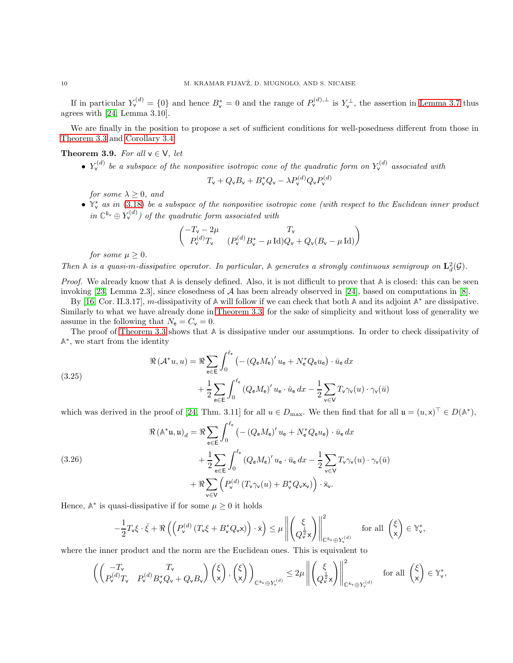If in particular  $Y_{\mathsf{v}}^{(d)} = \{0\}$  and hence  $B_{\mathsf{v}}^* = 0$  and the range of  $P_{\mathsf{v}}^{(d),\perp}$  is  $Y_{\mathsf{v}}^{\perp}$ , the assertion in [Lemma 3.7](#page-7-0) thus agrees with [\[24,](#page-23-0) Lemma 3.10].

We are finally in the position to propose a set of sufficient conditions for well-posedness different from those in [Theorem 3.3](#page-5-0) and [Corollary 3.4.](#page-6-3)

<span id="page-9-0"></span>Theorem 3.9. For all  $v \in V$ , let

•  $Y_{\mathsf{v}}^{(d)}$  be a subspace of the nonpositive isotropic cone of the quadratic form on  $Y_{\mathsf{v}}^{(d)}$  associated with

$$
T_{\mathsf{v}} + Q_{\mathsf{v}}B_{\mathsf{v}} + B_{\mathsf{v}}^*Q_{\mathsf{v}} - \lambda P_{\mathsf{v}}^{(d)}Q_{\mathsf{v}}P_{\mathsf{v}}^{(d)}
$$

for some  $\lambda \geq 0$ , and

• \<sup>\*</sup><sub>v</sub> as in [\(3.18\)](#page-7-1) be a subspace of the nonpositive isotropic cone (with respect to the Euclidean inner product in  $\mathbb{C}^{k_v} \oplus Y_{\mathsf{v}}^{(d)}$  of the quadratic form associated with

 $\left(1\right)$   $\left(1\right)$ 

$$
\begin{pmatrix} -T_\mathrm{v}-2\mu & T_\mathrm{v} \\ P_\mathrm{v}^{(d)}T_\mathrm{v} & (P_\mathrm{v}^{(d)}B_\mathrm{v}^*-\mu\,\mathrm{Id})Q_\mathrm{v} + Q_\mathrm{v}(B_\mathrm{v}-\mu\,\mathrm{Id}) \end{pmatrix}
$$

for some  $\mu > 0$ .

Then  $\mathbb A$  is a quasi-m-dissipative operator. In particular,  $\mathbb A$  generates a strongly continuous semigroup on  $\mathbf L_d^2(\mathcal G)$ .

Proof. We already know that **A** is densely defined. Also, it is not difficult to prove that **A** is closed: this can be seen invoking [\[23,](#page-23-14) Lemma 2.3], since closedness of A has been already observed in [\[24\]](#page-23-0), based on computations in [\[8\]](#page-23-15).

By [\[16,](#page-23-16) Cor. II.3.17], m-dissipativity of **A** will follow if we can check that both **A** and its adjoint **A** <sup>∗</sup> are dissipative. Similarly to what we have already done in [Theorem 3.3,](#page-5-0) for the sake of simplicity and without loss of generality we assume in the following that  $N_e = C_v = 0$ .

The proof of [Theorem 3.3](#page-5-0) shows that **A** is dissipative under our assumptions. In order to check dissipativity of **A** ∗ , we start from the identity

(3.25)  

$$
\Re(\mathcal{A}^*u, u) = \Re \sum_{e \in E} \int_0^{\ell_e} \left( - (Q_e M_e)' u_e + N_e^* Q_e u_e \right) \cdot \bar{u}_e dx + \frac{1}{2} \sum_{e \in E} \int_0^{\ell_e} (Q_e M_e)' u_e \cdot \bar{u}_e dx - \frac{1}{2} \sum_{v \in V} T_v \gamma_v(u) \cdot \gamma_v(\bar{u})
$$

which was derived in the proof of [\[24,](#page-23-0) Thm. 3.11] for all  $u \in D_{\text{max}}$ . We then find that for all  $\mathfrak{u} = (u, \mathsf{x})^\top \in D(\mathbb{A}^*)$ ,

(3.26)  
\n
$$
\Re (\mathbb{A}^* \mathfrak{u}, \mathfrak{u})_d = \Re \sum_{e \in E} \int_0^{\ell_e} \left( - (Q_e M_e)' u_e + N_e^* Q_e u_e \right) \cdot \bar{u}_e dx
$$
\n
$$
+ \frac{1}{2} \sum_{e \in E} \int_0^{\ell_e} (Q_e M_e)' u_e \cdot \bar{u}_e dx - \frac{1}{2} \sum_{v \in V} T_v \gamma_v(u) \cdot \gamma_v(\bar{u})
$$
\n
$$
+ \Re \sum_{v \in V} \left( P_v^{(d)} \left( T_v \gamma_v(u) + B_v^* Q_v x_v \right) \right) \cdot \bar{x}_v.
$$

Hence,  $A^*$  is quasi-dissipative if for some  $\mu \geq 0$  it holds

$$
-\frac{1}{2}T_v\xi\cdot\bar{\xi}+\Re\left(\left(P_v^{(d)}\left(T_v\xi+B_v^*Q_vx\right)\right)\cdot\bar{x}\right)\leq\mu\left\|\begin{pmatrix}\xi\\Q_v^{\frac{1}{2}}x\end{pmatrix}\right\|_{\mathbb{C}^{k_v}\oplus Y_v^{(d)}}^2\quad\text{ for all }\begin{pmatrix}\xi\\x\end{pmatrix}\in\mathbb{Y}_v^*,
$$

where the inner product and the norm are the Euclidean ones. This is equivalent to

$$
\left(\begin{pmatrix} -T_{\mathsf{v}} & T_{\mathsf{v}} \\ P_{\mathsf{v}}^{(d)} T_{\mathsf{v}} & P_{\mathsf{v}}^{(d)} B_{\mathsf{v}}^* Q_{\mathsf{v}} + Q_{\mathsf{v}} B_{\mathsf{v}} \end{pmatrix} \begin{pmatrix} \xi \\ \mathsf{x} \end{pmatrix}, \begin{pmatrix} \xi \\ \mathsf{x} \end{pmatrix} \right)_{\mathbb{C}^{k_{\mathsf{v}}} \oplus Y_{\mathsf{v}}^{(d)}} \le 2\mu \left\| \begin{pmatrix} \xi \\ Q_{\mathsf{v}}^{\frac{1}{2}} \mathsf{x} \end{pmatrix} \right\|_{\mathbb{C}^{k_{\mathsf{v}}} \oplus Y_{\mathsf{v}}^{(d)}}^2 \quad \text{for all } \begin{pmatrix} \xi \\ \mathsf{x} \end{pmatrix} \in \mathbb{Y}_{\mathsf{v}}^*,
$$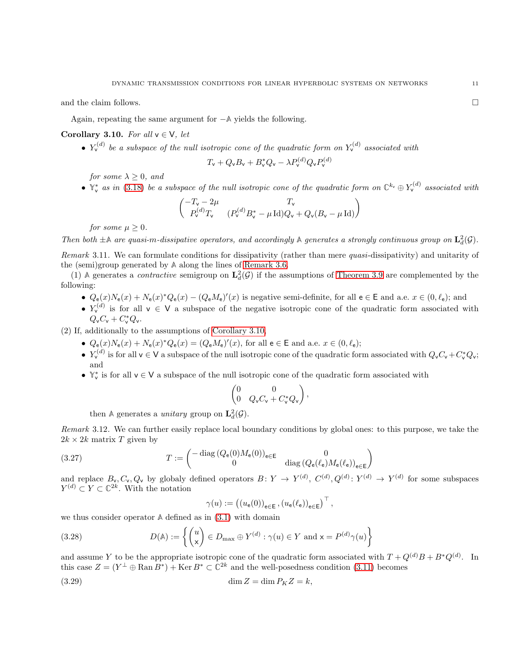and the claim follows.

Again, repeating the same argument for −**A** yields the following.

<span id="page-10-0"></span>Corollary 3.10. For all  $v \in V$ , let

•  $Y_{\mathsf{v}}^{(d)}$  be a subspace of the null isotropic cone of the quadratic form on  $Y_{\mathsf{v}}^{(d)}$  associated with

$$
T_{\mathsf{v}} + Q_{\mathsf{v}} B_{\mathsf{v}} + B_{\mathsf{v}}^* Q_{\mathsf{v}} - \lambda P_{\mathsf{v}}^{(d)} Q_{\mathsf{v}} P_{\mathsf{v}}^{(d)}
$$

for some  $\lambda \geq 0$ , and

•  $\mathbb{Y}_{\mathsf{v}}^*$  as in [\(3.18\)](#page-7-1) be a subspace of the null isotropic cone of the quadratic form on  $\mathbb{C}^{k_{\mathsf{v}}} \oplus Y_{\mathsf{v}}^{(d)}$  associated with

$$
\begin{pmatrix} -T_\mathrm{v}-2\mu & T_\mathrm{v} \\ P_\mathrm{v}^{(d)}T_\mathrm{v} & (P_\mathrm{v}^{(d)}B_\mathrm{v}^*-\mu\,\mathrm{Id})Q_\mathrm{v}+Q_\mathrm{v}(B_\mathrm{v}-\mu\,\mathrm{Id}) \end{pmatrix}
$$

for some  $\mu \geq 0$ .

Then both  $\pm \mathbb{A}$  are quasi-m-dissipative operators, and accordingly  $\mathbb{A}$  generates a strongly continuous group on  $\mathbf{L}^2_d(\mathcal{G})$ .

<span id="page-10-2"></span>Remark 3.11. We can formulate conditions for dissipativity (rather than mere quasi-dissipativity) and unitarity of the (semi)group generated by **A** along the lines of [Remark 3.6.](#page-6-4)

(1) A generates a *contractive* semigroup on  $\mathbf{L}_d^2(\mathcal{G})$  if the assumptions of [Theorem 3.9](#page-9-0) are complemented by the following:

- $Q_{\mathbf{e}}(x)N_{\mathbf{e}}(x) + N_{\mathbf{e}}(x)^{*}Q_{\mathbf{e}}(x) (Q_{\mathbf{e}}M_{\mathbf{e}})'(x)$  is negative semi-definite, for all  $\mathbf{e} \in \mathsf{E}$  and a.e.  $x \in (0, \ell_{\mathbf{e}});$  and
- $Y_{\mathsf{v}}^{(d)}$  is for all  $\mathsf{v} \in \mathsf{V}$  a subspace of the negative isotropic cone of the quadratic form associated with  $Q_{\mathsf{v}}C_{\mathsf{v}}+C_{\mathsf{v}}^*Q_{\mathsf{v}}.$
- (2) If, additionally to the assumptions of [Corollary 3.10,](#page-10-0)
	- $Q_{\mathsf{e}}(x)N_{\mathsf{e}}(x) + N_{\mathsf{e}}(x)^*Q_{\mathsf{e}}(x) = (Q_{\mathsf{e}}M_{\mathsf{e}})'(x)$ , for all  $\mathsf{e} \in \mathsf{E}$  and a.e.  $x \in (0,\ell_{\mathsf{e}})$ ;
	- $Y_{\mathsf{v}}^{(d)}$  is for all  $\mathsf{v} \in \mathsf{V}$  a subspace of the null isotropic cone of the quadratic form associated with  $Q_{\mathsf{v}}C_{\mathsf{v}}+C_{\mathsf{v}}^*Q_{\mathsf{v}}$ ; and
	- $\mathbb{Y}_{\mathsf{v}}^*$  is for all  $\mathsf{v} \in \mathsf{V}$  a subspace of the null isotropic cone of the quadratic form associated with

$$
\begin{pmatrix} 0 & 0 \\ 0 & Q_{\sf v}C_{\sf v} + C_{\sf v}^*Q_{\sf v} \end{pmatrix},
$$

then  $\mathbb{A}$  generates a *unitary* group on  $\mathbf{L}^2_d(\mathcal{G})$ .

<span id="page-10-3"></span>Remark 3.12. We can further easily replace local boundary conditions by global ones: to this purpose, we take the  $2k \times 2k$  matrix T given by

(3.27) 
$$
T := \begin{pmatrix} -\operatorname{diag}(Q_{e}(0)M_{e}(0))_{e \in \mathsf{E}} & 0\\ 0 & \operatorname{diag}(Q_{e}(\ell_{e})M_{e}(\ell_{e}))_{e \in \mathsf{E}} \end{pmatrix}
$$

and replace  $B_v, C_v, Q_v$  by globaly defined operators  $B: Y \to Y^{(d)}, C^{(d)}, Q^{(d)}: Y^{(d)} \to Y^{(d)}$  for some subspaces  $Y^{(d)} \subset Y \subset \mathbb{C}^{2k}$ . With the notation

<span id="page-10-1"></span>
$$
\gamma(u) := ((u_{\mathsf{e}}(0))_{\mathsf{e}\in \mathsf{E}}, (u_{\mathsf{e}}(\ell_{\mathsf{e}}))_{\mathsf{e}\in \mathsf{E}})^{\perp},
$$

we thus consider operator **A** defined as in [\(3.1\)](#page-3-2) with domain

(3.28) 
$$
D(\mathbb{A}) := \left\{ \begin{pmatrix} u \\ x \end{pmatrix} \in D_{\text{max}} \oplus Y^{(d)} : \gamma(u) \in Y \text{ and } x = P^{(d)} \gamma(u) \right\}
$$

and assume Y to be the appropriate isotropic cone of the quadratic form associated with  $T + Q^{(d)}B + B^*Q^{(d)}$ . In this case  $Z = (Y^{\perp} \oplus \text{Ran } B^*) + \text{Ker } B^* \subset \mathbb{C}^{2k}$  and the well-posedness condition [\(3.11\)](#page-4-0) becomes

$$
\dim Z = \dim P_K Z = k,
$$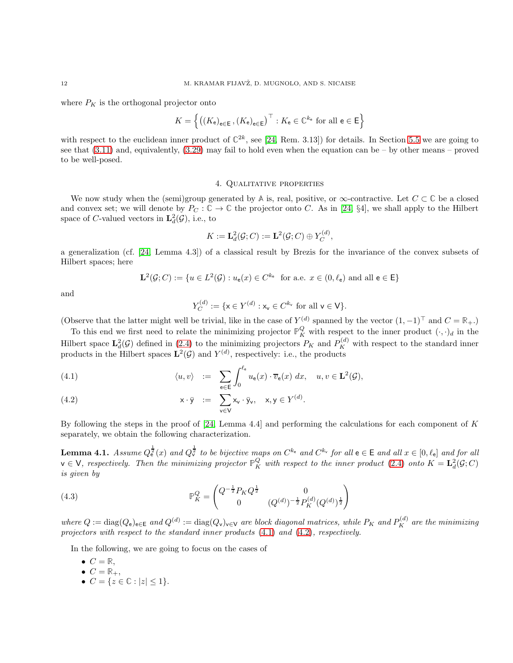where  $P_K$  is the orthogonal projector onto

$$
K = \left\{ \left( (K_{\mathsf{e}})_{\mathsf{e} \in \mathsf{E}} , (K_{\mathsf{e}})_{\mathsf{e} \in \mathsf{E}} \right)^{\top} : K_{\mathsf{e}} \in \mathbb{C}^{k_{\mathsf{e}}} \text{ for all } \mathsf{e} \in \mathsf{E} \right\}
$$

with respect to the euclidean inner product of  $\mathbb{C}^{2k}$ , see [\[24,](#page-23-0) Rem. 3.13]) for details. In Section [5.5](#page-22-0) we are going to see that  $(3.11)$  and, equivalently,  $(3.29)$  may fail to hold even when the equation can be – by other means – proved to be well-posed.

## 4. Qualitative properties

<span id="page-11-0"></span>We now study when the (semi)group generated by  $\mathbb A$  is, real, positive, or  $\infty$ -contractive. Let  $C \subset \mathbb C$  be a closed and convex set; we will denote by  $P_C: \mathbb{C} \to \mathbb{C}$  the projector onto C. As in [\[24,](#page-23-0) §4], we shall apply to the Hilbert space of C-valued vectors in  $\mathbf{L}_d^2(\mathcal{G})$ , i.e., to

$$
K := \mathbf{L}_d^2(\mathcal{G}; C) := \mathbf{L}^2(\mathcal{G}; C) \oplus Y_C^{(d)},
$$

a generalization (cf. [\[24,](#page-23-0) Lemma 4.3]) of a classical result by Brezis for the invariance of the convex subsets of Hilbert spaces; here

$$
\mathbf{L}^2(\mathcal{G}; C) := \{ u \in L^2(\mathcal{G}) : u_{\mathbf{e}}(x) \in C^{k_{\mathbf{e}}} \text{ for a.e. } x \in (0, \ell_{\mathbf{e}}) \text{ and all } \mathbf{e} \in \mathsf{E} \}
$$

and

<span id="page-11-1"></span>
$$
Y_C^{(d)} := \{ \mathsf{x} \in Y^{(d)} : \mathsf{x}_{\mathsf{v}} \in C^{k_{\mathsf{v}}} \text{ for all } \mathsf{v} \in \mathsf{V} \}.
$$

(Observe that the latter might well be trivial, like in the case of  $Y^{(d)}$  spanned by the vector  $(1, -1)^{\top}$  and  $C = \mathbb{R}_{+}$ .)

To this end we first need to relate the minimizing projector  $\mathbb{P}^Q_K$  with respect to the inner product  $(\cdot, \cdot)_d$  in the Hilbert space  $\mathbf{L}_d^2(\mathcal{G})$  defined in [\(2.4\)](#page-2-0) to the minimizing projectors  $P_K$  and  $P_K^{(d)}$  with respect to the standard inner products in the Hilbert spaces  $\mathbf{L}^2(\mathcal{G})$  and  $Y^{(d)}$ , respectively: i.e., the products

(4.1) 
$$
\langle u, v \rangle := \sum_{e \in E} \int_0^{\ell_e} u_e(x) \cdot \overline{v}_e(x) dx, \quad u, v \in L^2(\mathcal{G}),
$$

(4.2) 
$$
x \cdot \bar{y} := \sum_{v \in V} x_v \cdot \bar{y}_v, \quad x, y \in Y^{(d)}.
$$

By following the steps in the proof of  $[24, \text{ Lemma } 4.4]$  and performing the calculations for each component of K separately, we obtain the following characterization.

<span id="page-11-2"></span>**Lemma 4.1.** Assume  $Q_e^{\frac{1}{2}}(x)$  and  $Q_v^{\frac{1}{2}}$  to be bijective maps on  $C^{k_e}$  and  $C^{k_v}$  for all  $e \in E$  and all  $x \in [0, \ell_e]$  and for all  $\mathbf{v} \in \mathsf{V}$ , respectively. Then the minimizing projector  $\mathbb{P}^Q_K$  with respect to the inner product [\(2.4\)](#page-2-0) onto  $K = \mathbf{L}^2_d(\mathcal{G}; C)$ is given by

(4.3) 
$$
\mathbb{P}_{K}^{Q} = \begin{pmatrix} Q^{-\frac{1}{2}} P_{K} Q^{\frac{1}{2}} & 0\\ 0 & (Q^{(d)})^{-\frac{1}{2}} P_{K}^{(d)} (Q^{(d)})^{\frac{1}{2}} \end{pmatrix}
$$

where  $Q := \text{diag}(Q_e)_{e \in E}$  and  $Q^{(d)} := \text{diag}(Q_v)_{v \in V}$  are block diagonal matrices, while  $P_K$  and  $P_K^{(d)}$  are the minimizing projectors with respect to the standard inner products [\(4.1\)](#page-11-1) and [\(4.2\)](#page-11-1), respectively.

In the following, we are going to focus on the cases of

- <span id="page-11-3"></span> $\bullet \ \ C = \mathbb{R},$
- $\bullet$   $C = \mathbb{R}_+,$
- $C = \{z \in \mathbb{C} : |z| \leq 1\}.$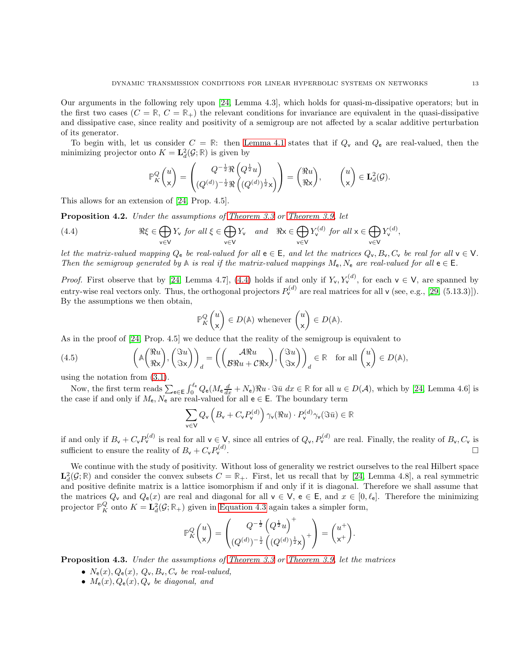Our arguments in the following rely upon [\[24,](#page-23-0) Lemma 4.3], which holds for quasi-m-dissipative operators; but in the first two cases  $(C = \mathbb{R}, C = \mathbb{R}_+)$  the relevant conditions for invariance are equivalent in the quasi-dissipative and dissipative case, since reality and positivity of a semigroup are not affected by a scalar additive perturbation of its generator.

To begin with, let us consider  $C = \mathbb{R}$ : then [Lemma 4.1](#page-11-2) states that if  $Q_v$  and  $Q_e$  are real-valued, then the minimizing projector onto  $K = \mathbf{L}^2_d(\mathcal{G}; \mathbb{R})$  is given by

<span id="page-12-0"></span>
$$
\mathbb{P}_{K}^{Q}\binom{u}{\mathsf{x}}=\begin{pmatrix}Q^{-\frac{1}{2}}\Re\left(Q^{\frac{1}{2}}u\right)\\\left(Q^{\left(d\right)}\right)^{-\frac{1}{2}}\Re\left((Q^{\left(d\right)}\right)^{\frac{1}{2}}\mathsf{x}\right)\end{pmatrix}=\begin{pmatrix}\Re u\\\Re\mathsf{x}\end{pmatrix},\qquad \begin{pmatrix}u\\\mathsf{x}\end{pmatrix}\in\mathbf{L}_{d}^{2}(\mathcal{G}).
$$

This allows for an extension of [\[24,](#page-23-0) Prop. 4.5].

<span id="page-12-1"></span>Proposition 4.2. Under the assumptions of [Theorem 3.3](#page-5-0) or [Theorem 3.9,](#page-9-0) let

(4.4) 
$$
\Re \xi \in \bigoplus_{v \in V} Y_v
$$
 for all  $\xi \in \bigoplus_{v \in V} Y_v$  and  $\Re x \in \bigoplus_{v \in V} Y_v^{(d)}$  for all  $x \in \bigoplus_{v \in V} Y_v^{(d)}$ ,

let the matrix-valued mapping  $Q_e$  be real-valued for all  $e \in E$ , and let the matrices  $Q_v, B_v, C_v$  be real for all  $v \in V$ . Then the semigroup generated by  $A$  is real if the matrix-valued mappings  $M_e$ ,  $N_e$  are real-valued for all  $e \in E$ .

*Proof.* First observe that by [\[24,](#page-23-0) Lemma 4.7], [\(4.4\)](#page-12-0) holds if and only if  $Y_v, Y_v^{(d)}$ , for each  $v \in V$ , are spanned by entry-wise real vectors only. Thus, the orthogonal projectors  $P_v^{(d)}$  are real matrices for all  $\mathsf{v}$  (see, e.g., [\[29,](#page-24-9) (5.13.3)]). By the assumptions we then obtain,

$$
\mathbb{P}_{K}^{Q}\binom{u}{\mathsf{x}}\in D(\mathbb{A})\text{ whenever }\binom{u}{\mathsf{x}}\in D(\mathbb{A}).
$$

As in the proof of [\[24,](#page-23-0) Prop. 4.5] we deduce that the reality of the semigroup is equivalent to

(4.5) 
$$
\left(\mathbb{A}\begin{pmatrix} \Re u \\ \Re x \end{pmatrix}, \begin{pmatrix} \Im u \\ \Im x \end{pmatrix}\right)_d = \left(\begin{pmatrix} \mathcal{A}\Re u \\ \mathcal{B}\Re u + \mathcal{C}\Re x \end{pmatrix}, \begin{pmatrix} \Im u \\ \Im x \end{pmatrix}\right)_d \in \mathbb{R} \text{ for all } \begin{pmatrix} u \\ x \end{pmatrix} \in D(\mathbb{A}),
$$

using the notation from [\(3.1\)](#page-3-2).

Now, the first term reads  $\sum_{e \in E} \int_0^{\ell_e} Q_e(M_e \frac{d}{dx} + N_e) \Re u \cdot \Im \bar{u} dx \in \mathbb{R}$  for all  $u \in D(\mathcal{A})$ , which by [\[24,](#page-23-0) Lemma 4.6] is the case if and only if  $M_e, N_e$  are real-valued for all  $e \in E$ . The boundary term

$$
\sum_{v \in V} Q_v \left( B_v + C_v P_v^{(d)} \right) \gamma_v(\Re u) \cdot P_v^{(d)} \gamma_v(\Im \bar{u}) \in \mathbb{R}
$$

if and only if  $B_v + C_v P_v^{(d)}$  is real for all  $v \in V$ , since all entries of  $Q_v, P_v^{(d)}$  are real. Finally, the reality of  $B_v, C_v$  is sufficient to ensure the reality of  $B_{\mathsf{v}} + C_{\mathsf{v}} P_{\mathsf{v}}^{(d)}$  $\mathcal{L}^{(d)}$ .

We continue with the study of positivity. Without loss of generality we restrict ourselves to the real Hilbert space  $\mathbf{L}_d^2(\mathcal{G};\mathbb{R})$  and consider the convex subsets  $C = \mathbb{R}_+$ . First, let us recall that by [\[24,](#page-23-0) Lemma 4.8], a real symmetric and positive definite matrix is a lattice isomorphism if and only if it is diagonal. Therefore we shall assume that the matrices  $Q_v$  and  $Q_e(x)$  are real and diagonal for all  $v \in V$ ,  $e \in E$ , and  $x \in [0, \ell_e]$ . Therefore the minimizing projector  $\mathbb{P}_{K}^{Q}$  onto  $K = \mathbf{L}_{d}^{2}(\mathcal{G}; \mathbb{R}_{+})$  given in [Equation 4.3](#page-11-3) again takes a simpler form,

$$
\mathbb{P}_{K}^{Q}\binom{u}{\mathsf{x}}=\left(\begin{matrix}Q^{-\frac{1}{2}}\left(Q^{\frac{1}{2}}u\right)^{+}\\ \left(Q^{\left(d\right)}\right)^{-\frac{1}{2}}\left(\left(Q^{\left(d\right)}\right)^{\frac{1}{2}}\mathsf{x}\right)^{+}\end{matrix}\right)=\binom{u^{+}}{\mathsf{x}^{+}}.
$$

Proposition 4.3. Under the assumptions of [Theorem 3.3](#page-5-0) or [Theorem 3.9,](#page-9-0) let the matrices

- $N_e(x)$ ,  $Q_e(x)$ ,  $Q_v$ ,  $B_v$ ,  $C_v$  be real-valued,
- $M_e(x), Q_e(x), Q_v$  be diagonal, and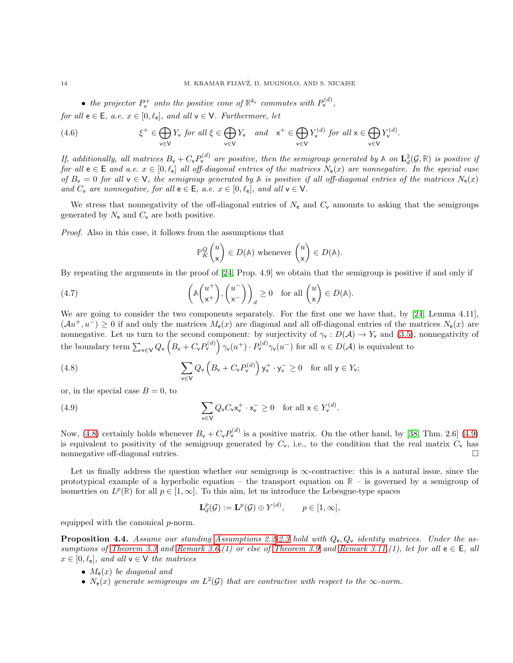• the projector  $P_v^+$  onto the positive cone of  $\mathbb{R}^{k_v}$  commutes with  $P_v^{(d)}$ , for all  $e \in E$ , a.e.  $x \in [0, \ell_e]$ , and all  $v \in V$ . Furthermore, let

(4.6) 
$$
\xi^+ \in \bigoplus_{v \in V} Y_v \text{ for all } \xi \in \bigoplus_{v \in V} Y_v \quad \text{and} \quad x^+ \in \bigoplus_{v \in V} Y_v^{(d)} \text{ for all } x \in \bigoplus_{v \in V} Y_v^{(d)}.
$$

If, additionally, all matrices  $B_v + C_v P_v^{(d)}$  are positive, then the semigroup generated by  $\mathbb A$  on  $\mathbf L_d^2(\mathcal G,\mathbb R)$  is positive if for all  $e \in E$  and  $a.e.$   $x \in [0, \ell_e]$  all off-diagonal entries of the matrices  $N_e(x)$  are nonnegative. In the special case of  $B_v = 0$  for all  $v \in V$ , the semigroup generated by  $\mathbb A$  is positive if all off-diagonal entries of the matrices  $N_e(x)$ and  $C_v$  are nonnegative, for all  $e \in E$ , a.e.  $x \in [0, \ell_e]$ , and all  $v \in V$ .

We stress that nonnegativity of the off-diagonal entries of  $N_e$  and  $C_v$  amounts to asking that the semigroups generated by  $N_e$  and  $C_v$  are both positive.

Proof. Also in this case, it follows from the assumptions that

$$
\mathbb{P}_{K}^{Q}\binom{u}{\mathsf{x}}\in D(\mathbb{A})\text{ whenever }\binom{u}{\mathsf{x}}\in D(\mathbb{A}).
$$

By repeating the arguments in the proof of [\[24,](#page-23-0) Prop. 4.9] we obtain that the semigroup is positive if and only if

(4.7) 
$$
\left(\mathbb{A} \begin{pmatrix} u^+ \\ x^+ \end{pmatrix}, \begin{pmatrix} u^- \\ x^- \end{pmatrix} \right)_d \ge 0 \text{ for all } \begin{pmatrix} u \\ x \end{pmatrix} \in D(\mathbb{A}).
$$

We are going to consider the two components separately. For the first one we have that, by [\[24,](#page-23-0) Lemma 4.11],  $(\mathcal{A}u^+, u^-) \geq 0$  if and only the matrices  $M_e(x)$  are diagonal and all off-diagonal entries of the matrices  $N_e(x)$  are nonnegative. Let us turn to the second component: by surjectivity of  $\gamma_v : D(\mathcal{A}) \to Y_v$  and [\(3.5\)](#page-4-2), nonnegativity of the boundary term  $\sum_{v \in V} Q_v \left( B_v + C_v P_v^{(d)} \right) \gamma_v(u^+) \cdot P_v^{(d)} \gamma_v(u^-)$  for all  $u \in D(\mathcal{A})$  is equivalent to

<span id="page-13-0"></span>(4.8) 
$$
\sum_{v \in V} Q_v \left( B_v + C_v P_v^{(d)} \right) y_v^+ \cdot y_v^- \ge 0 \text{ for all } y \in Y_v;
$$

or, in the special case  $B = 0$ , to

(4.9) 
$$
\sum_{v \in V} Q_v C_v x_v^+ \cdot x_v^- \ge 0 \quad \text{for all } x \in Y_v^{(d)}.
$$

Now, [\(4.8\)](#page-13-0) certainly holds whenever  $B_v + C_v P_v^{(d)}$  is a positive matrix. On the other hand, by [\[38,](#page-24-10) Thm. 2.6] [\(4.9\)](#page-13-1) is equivalent to positivity of the semigroup generated by  $C_{v}$ , i.e., to the condition that the real matrix  $C_{v}$  has nonnegative off-diagonal entries.

Let us finally address the question whether our semigroup is ∞-contractive: this is a natural issue, since the prototypical example of a hyperbolic equation – the transport equation on **R** – is governed by a semigroup of isometries on  $L^p(\mathbb{R})$  for all  $p \in [1,\infty]$ . To this aim, let us introduce the Lebesgue-type spaces

<span id="page-13-1"></span>
$$
\mathbf{L}_d^p(\mathcal{G}) := \mathbf{L}^p(\mathcal{G}) \oplus Y^{(d)}, \qquad p \in [1, \infty],
$$

equipped with the canonical p-norm.

<span id="page-13-2"></span>**Proposition 4.4.** Assume our standing [Assumptions 2.2-](#page-1-1)[2.3](#page-2-1) hold with  $Q_e, Q_v$  identity matrices. Under the as-sumptions of [Theorem 3.3](#page-5-0) and [Remark 3.6.](#page-6-4)(1) or else of [Theorem 3.9](#page-9-0) and [Remark 3.11.](#page-10-2)(1), let for all  $e \in E$ , all  $x \in [0, \ell_e]$ , and all  $v \in V$  the matrices

- $M_e(x)$  be diagonal and
- $N_e(x)$  generate semigroups on  $L^2(\mathcal{G})$  that are contractive with respect to the  $\infty$ -norm.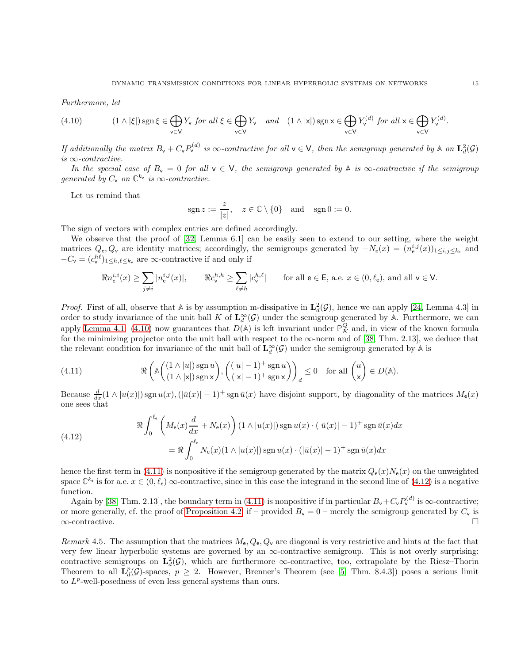Furthermore, let

<span id="page-14-0"></span>
$$
(4.10) \qquad (1 \wedge |\xi|) \operatorname{sgn} \xi \in \bigoplus_{v \in V} Y_v \text{ for all } \xi \in \bigoplus_{v \in V} Y_v \quad \text{and} \quad (1 \wedge |\mathbf{x}|) \operatorname{sgn} \mathbf{x} \in \bigoplus_{v \in V} Y_v^{(d)} \text{ for all } \mathbf{x} \in \bigoplus_{v \in V} Y_v^{(d)}
$$

If additionally the matrix  $B_v + C_v P_v^{(d)}$  is  $\infty$ -contractive for all  $v \in V$ , then the semigroup generated by  $\mathbb A$  on  $\mathbf L_d^2(\mathcal G)$ is  $\infty$ -contractive.

In the special case of  $B_v = 0$  for all  $v \in V$ , the semigroup generated by  $\mathbb A$  is  $\infty$ -contractive if the semigroup generated by  $C_v$  on  $\mathbb{C}^{k_v}$  is  $\infty$ -contractive.

Let us remind that

$$
sgn z := \frac{z}{|z|}, \quad z \in \mathbb{C} \setminus \{0\} \quad \text{and} \quad sgn 0 := 0.
$$

The sign of vectors with complex entries are defined accordingly.

We observe that the proof of [\[32,](#page-24-11) Lemma 6.1] can be easily seen to extend to our setting, where the weight matrices  $Q_{e}, Q_{v}$  are identity matrices; accordingly, the semigroups generated by  $-N_{e}(x) = (n_{e}^{i,j}(x))_{1 \leq i,j \leq k_{e}}$  and  $-C_{\mathsf{v}}=(c_{\mathsf{v}}^{h\ell})_{1\leq h,\ell\leq k_{\mathsf{v}}}$  are  $\infty$ -contractive if and only if

$$
\Re n_{\mathbf{e}}^{i,i}(x) \ge \sum_{j \ne i} |n_{\mathbf{e}}^{i,j}(x)|, \qquad \Re c_{\mathbf{v}}^{h,h} \ge \sum_{\ell \ne h} |c_{\mathbf{v}}^{h,\ell}| \qquad \text{for all } \mathbf{e} \in \mathsf{E}, \text{ a.e. } x \in (0,\ell_{\mathbf{e}}), \text{ and all } \mathbf{v} \in \mathsf{V}.
$$

*Proof.* First of all, observe that  $\mathbb{A}$  is by assumption m-dissipative in  $\mathbf{L}^2_d(\mathcal{G})$ , hence we can apply [\[24,](#page-23-0) Lemma 4.3] in order to study invariance of the unit ball K of  $\mathbf{L}_d^{\infty}(\mathcal{G})$  under the semigroup generated by A. Furthermore, we can apply [Lemma 4.1:](#page-11-2) [\(4.10\)](#page-14-0) now guarantees that  $D(\mathbb{A})$  is left invariant under  $\mathbb{P}^Q_K$  and, in view of the known formula for the minimizing projector onto the unit ball with respect to the  $\infty$ -norm and of [\[38,](#page-24-10) Thm. 2.13], we deduce that the relevant condition for invariance of the unit ball of  $\mathbf{L}^{\infty}_d(\mathcal{G})$  under the semigroup generated by  $\mathbb{A}$  is

<span id="page-14-1"></span>(4.11) 
$$
\Re\left(\mathbb{A}\left(\frac{(1 \wedge |u|) \operatorname{sgn} u}{(1 \wedge |\mathsf{x}|) \operatorname{sgn} \mathsf{x}}\right), \left(\frac{(|u|-1)^{+} \operatorname{sgn} u}{(|\mathsf{x}|-1)^{+} \operatorname{sgn} \mathsf{x}}\right)\right)_{d} \leq 0 \quad \text{for all } \binom{u}{\mathsf{x}} \in D(\mathbb{A}).
$$

Because  $\frac{d}{dx}(1 \wedge |u(x)|)$  sgn  $u(x)$ ,  $(|\bar{u}(x)| - 1)^+$  sgn  $\bar{u}(x)$  have disjoint support, by diagonality of the matrices  $M_e(x)$ one sees that

<span id="page-14-2"></span>(4.12) 
$$
\Re \int_0^{\ell_e} \left( M_e(x) \frac{d}{dx} + N_e(x) \right) (1 \wedge |u(x)|) \operatorname{sgn} u(x) \cdot (|\bar{u}(x)| - 1)^+ \operatorname{sgn} \bar{u}(x) dx
$$

$$
= \Re \int_0^{\ell_e} N_e(x) (1 \wedge |u(x)|) \operatorname{sgn} u(x) \cdot (|\bar{u}(x)| - 1)^+ \operatorname{sgn} \bar{u}(x) dx
$$

hence the first term in [\(4.11\)](#page-14-1) is nonpositive if the semigroup generated by the matrix  $Q_e(x)N_e(x)$  on the unweighted space  $\mathbb{C}^{k_e}$  is for a.e.  $x \in (0, \ell_e)$   $\infty$ -contractive, since in this case the integrand in the second line of [\(4.12\)](#page-14-2) is a negative function.

Again by [\[38,](#page-24-10) Thm. 2.13], the boundary term in [\(4.11\)](#page-14-1) is nonpositive if in particular  $B_v + C_v P_v^{(d)}$  is  $\infty$ -contractive; or more generally, cf. the proof of [Proposition 4.2,](#page-12-1) if – provided  $B_v = 0$  – merely the semigroup generated by  $C_v$  is  $\infty$ -contractive.

<span id="page-14-3"></span>Remark 4.5. The assumption that the matrices  $M_e, Q_e, Q_v$  are diagonal is very restrictive and hints at the fact that very few linear hyperbolic systems are governed by an ∞-contractive semigroup. This is not overly surprising: contractive semigroups on  $\mathbf{L}_d^2(\mathcal{G})$ , which are furthermore  $\infty$ -contractive, too, extrapolate by the Riesz–Thorin Theorem to all  $\mathbf{L}_{d}^{p}(\mathcal{G})$ -spaces,  $p \geq 2$ . However, Brenner's Theorem (see [\[5,](#page-23-17) Thm. 8.4.3]) poses a serious limit to  $L^p$ -well-posedness of even less general systems than ours.

.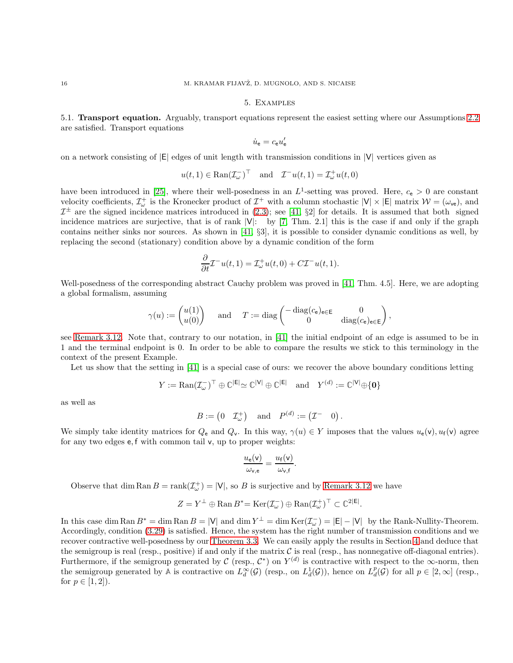#### 5. Examples

<span id="page-15-0"></span>5.1. Transport equation. Arguably, transport equations represent the easiest setting where our Assumptions [2.2](#page-1-1) are satisfied. Transport equations

$$
\dot{u}_{\rm e} = c_{\rm e} u'_{\rm e}
$$

on a network consisting of  $|E|$  edges of unit length with transmission conditions in  $|V|$  vertices given as

$$
u(t, 1) \in \text{Ran}(\mathcal{I}_{\omega})^{\top}
$$
 and  $\mathcal{I}^{-}u(t, 1) = \mathcal{I}_{\omega}^{+}u(t, 0)$ 

have been introduced in [\[25\]](#page-23-18), where their well-posedness in an  $L^1$ -setting was proved. Here,  $c_e > 0$  are constant velocity coefficients,  $\mathcal{I}_{\omega}^{+}$  is the Kronecker product of  $\mathcal{I}^{+}$  with a column stochastic  $|V| \times |E|$  matrix  $\mathcal{W} = (\omega_{ve})$ , and  $\mathcal{I}^{\pm}$  are the signed incidence matrices introduced in [\(2.3\)](#page-2-2); see [\[41,](#page-24-5) §2] for details. It is assumed that both signed incidence matrices are surjective, that is of rank  $|V|$ : by [\[7,](#page-23-19) Thm. 2.1] this is the case if and only if the graph contains neither sinks nor sources. As shown in [\[41,](#page-24-5) §3], it is possible to consider dynamic conditions as well, by replacing the second (stationary) condition above by a dynamic condition of the form

$$
\frac{\partial}{\partial t} \mathcal{I}^- u(t,1) = \mathcal{I}^+_{\omega} u(t,0) + C \mathcal{I}^- u(t,1).
$$

Well-posedness of the corresponding abstract Cauchy problem was proved in [\[41,](#page-24-5) Thm. 4.5]. Here, we are adopting a global formalism, assuming

$$
\gamma(u) := \begin{pmatrix} u(1) \\ u(0) \end{pmatrix} \quad \text{ and } \quad T := \mathrm{diag} \begin{pmatrix} -\operatorname{diag}(c_\mathsf{e})_{\mathsf{e} \in \mathsf{E}} & 0 \\ 0 & \operatorname{diag}(c_\mathsf{e})_{\mathsf{e} \in \mathsf{E}} \end{pmatrix},
$$

see [Remark 3.12.](#page-10-3) Note that, contrary to our notation, in [\[41\]](#page-24-5) the initial endpoint of an edge is assumed to be in 1 and the terminal endpoint is 0. In order to be able to compare the results we stick to this terminology in the context of the present Example.

Let us show that the setting in [\[41\]](#page-24-5) is a special case of ours: we recover the above boundary conditions letting

$$
Y := \text{Ran}(\mathcal{I}_{\omega}^{-})^{\top} \oplus \mathbb{C}^{|\mathsf{E}|} \simeq \mathbb{C}^{|\mathsf{V}|} \oplus \mathbb{C}^{|\mathsf{E}|} \quad \text{and} \quad Y^{(d)} := \mathbb{C}^{|\mathsf{V}|} \oplus \{\mathbf{0}\}
$$

as well as

$$
B := \begin{pmatrix} 0 & \mathcal{I}_{\omega}^{+} \end{pmatrix} \quad \text{and} \quad P^{(d)} := \begin{pmatrix} \mathcal{I}^{-} & 0 \end{pmatrix}.
$$

We simply take identity matrices for  $Q_e$  and  $Q_v$ . In this way,  $\gamma(u) \in Y$  imposes that the values  $u_e(v), u_f(v)$  agree for any two edges e, f with common tail v, up to proper weights:

$$
\frac{u_{\mathsf{e}}(\mathsf{v})}{\omega_{\mathsf{v},\mathsf{e}}} = \frac{u_{\mathsf{f}}(\mathsf{v})}{\omega_{\mathsf{v},\mathsf{f}}}
$$

.

Observe that dim Ran  $B = \text{rank}(\mathcal{I}_{\omega}^+) = |V|$ , so B is surjective and by [Remark 3.12](#page-10-3) we have

$$
Z = Y^{\perp} \oplus \text{Ran}\, B^* = \text{Ker}(\mathcal{I}_{\omega}^-) \oplus \text{Ran}(\mathcal{I}_{\omega}^+)^\top \subset \mathbb{C}^{2|\mathsf{E}|}.
$$

In this case dim  $\text{Ran } B^* = \dim \text{Ran } B = |V|$  and  $\dim Y^{\perp} = \dim \text{Ker}(\mathcal{I}_{\omega}^-) = |E| - |V|$  by the Rank-Nullity-Theorem. Accordingly, condition [\(3.29\)](#page-10-1) is satisfied. Hence, the system has the right number of transmission conditions and we recover contractive well-posedness by our [Theorem 3.3.](#page-5-0) We can easily apply the results in Section [4](#page-11-0) and deduce that the semigroup is real (resp., positive) if and only if the matrix  $C$  is real (resp., has nonnegative off-diagonal entries). Furthermore, if the semigroup generated by C (resp.,  $\mathcal{C}^*$ ) on  $Y^{(d)}$  is contractive with respect to the  $\infty$ -norm, then the semigroup generated by A is contractive on  $L_d^{\infty}(\mathcal{G})$  (resp., on  $L_d^1(\mathcal{G})$ ), hence on  $L_d^p(\mathcal{G})$  for all  $p \in [2,\infty]$  (resp., for  $p \in [1, 2]$ .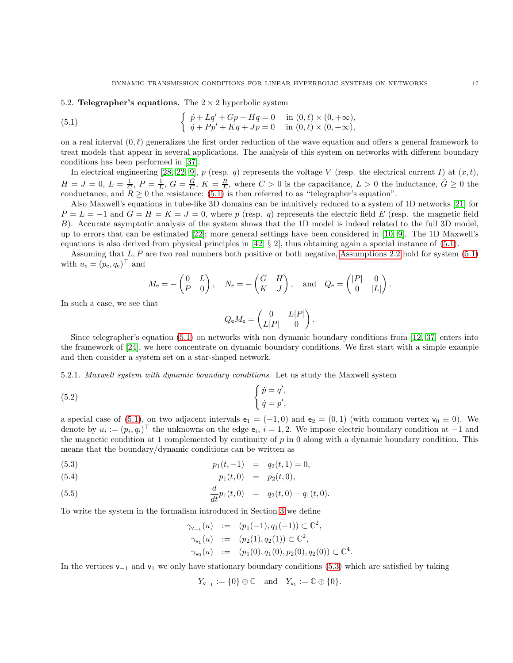## 5.2. Telegrapher's equations. The  $2 \times 2$  hyperbolic system

<span id="page-16-0"></span>(5.1) 
$$
\begin{cases} \n\dot{p} + Lq' + Gp + Hq = 0 & \text{in } (0, \ell) \times (0, +\infty), \\ \n\dot{q} + Pp' + Kq + Jp = 0 & \text{in } (0, \ell) \times (0, +\infty), \n\end{cases}
$$

on a real interval  $(0, \ell)$  generalizes the first order reduction of the wave equation and offers a general framework to treat models that appear in several applications. The analysis of this system on networks with different boundary conditions has been performed in [\[37\]](#page-24-12).

In electrical engineering [\[28,](#page-24-13) [22,](#page-23-20) [9\]](#page-23-4), p (resp. q) represents the voltage V (resp. the electrical current I) at  $(x, t)$ ,  $H = J = 0, L = \frac{1}{C}, P = \frac{1}{L}, G = \frac{\hat{G}}{C}, K = \frac{R}{L}$ , where  $C > 0$  is the capacitance,  $L > 0$  the inductance,  $\hat{G} \ge 0$  the conductance, and  $R \geq 0$  the resistance: [\(5.1\)](#page-16-0) is then referred to as "telegrapher's equation".

Also Maxwell's equations in tube-like 3D domains can be intuitively reduced to a system of 1D networks [\[21\]](#page-23-21) for  $P = L = -1$  and  $G = H = K = J = 0$ , where p (resp. q) represents the electric field E (resp. the magnetic field B). Accurate asymptotic analysis of the system shows that the 1D model is indeed related to the full 3D model, up to errors that can be estimated [\[22\]](#page-23-20); more general settings have been considered in [\[10,](#page-23-3) [9\]](#page-23-4). The 1D Maxwell's equations is also derived from physical principles in [\[42,](#page-24-14) § 2], thus obtaining again a special instance of [\(5.1\)](#page-16-0).

Assuming that L, P are two real numbers both positive or both negative, [Assumptions](#page-1-1) 2.2 hold for system [\(5.1\)](#page-16-0) with  $u_{e} = (p_{e}, q_{e})^{\dagger}$  and

$$
M_{\mathbf{e}} = -\begin{pmatrix} 0 & L \\ P & 0 \end{pmatrix}, \quad N_{\mathbf{e}} = -\begin{pmatrix} G & H \\ K & J \end{pmatrix}, \quad \text{and} \quad Q_{\mathbf{e}} = \begin{pmatrix} |P| & 0 \\ 0 & |L| \end{pmatrix}.
$$

In such a case, we see that

$$
Q_{\mathbf{e}} M_{\mathbf{e}} = \begin{pmatrix} 0 & L|P| \\ L|P| & 0 \end{pmatrix}.
$$

Since telegrapher's equation [\(5.1\)](#page-16-0) on networks with non dynamic boundary conditions from [\[12,](#page-23-22) [37\]](#page-24-12) enters into the framework of [\[24\]](#page-23-0), we here concentrate on dynamic boundary conditions. We first start with a simple example and then consider a system set on a star-shaped network.

5.2.1. Maxwell system with dynamic boundary conditions. Let us study the Maxwell system

(5.2) 
$$
\begin{cases} \dot{p} = q', \\ \dot{q} = p', \end{cases}
$$

a special case of [\(5.1\)](#page-16-0), on two adjacent intervals  $e_1 = (-1, 0)$  and  $e_2 = (0, 1)$  (with common vertex  $v_0 \equiv 0$ ). We denote by  $u_i := (p_i, q_i)^\perp$  the unknowns on the edge  $e_i$ ,  $i = 1, 2$ . We impose electric boundary condition at  $-1$  and the magnetic condition at 1 complemented by continuity of  $p$  in 0 along with a dynamic boundary condition. This means that the boundary/dynamic conditions can be written as

(5.3) 
$$
p_1(t,-1) = q_2(t,1) = 0,
$$

(5.4) 
$$
p_1(t,0) = p_2(t,0),
$$

(5.5) 
$$
\frac{d}{dt}p_1(t,0) = q_2(t,0) - q_1(t,0).
$$

To write the system in the formalism introduced in Section [3](#page-3-0) we define

<span id="page-16-1"></span>
$$
\gamma_{v_{-1}}(u) := (p_1(-1), q_1(-1)) \subset \mathbb{C}^2,
$$
  
\n
$$
\gamma_{v_1}(u) := (p_2(1), q_2(1)) \subset \mathbb{C}^2,
$$
  
\n
$$
\gamma_{v_0}(u) := (p_1(0), q_1(0), p_2(0), q_2(0)) \subset \mathbb{C}^4
$$

.

In the vertices  $v_{-1}$  and  $v_1$  we only have stationary boundary conditions [\(5.3\)](#page-16-1) which are satisfied by taking

$$
Y_{\mathsf{v}_{-1}}:=\{0\}\oplus\mathbb{C}\quad\text{and}\quad Y_{\mathsf{v}_1}:=\mathbb{C}\oplus\{0\}.
$$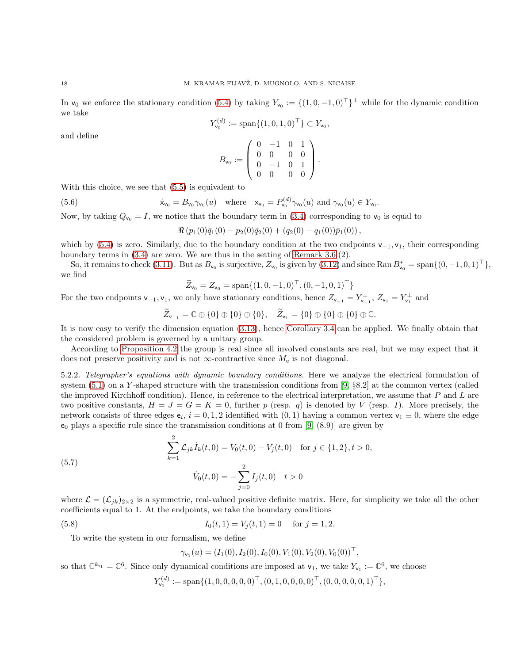In  $v_0$  we enforce the stationary condition [\(5.4\)](#page-16-1) by taking  $Y_{v_0} := \{(1, 0, -1, 0)^\top\}^\perp$  while for the dynamic condition we take

$$
Y_{v_0}^{(d)} := \text{span}\{(1,0,1,0)^\top\} \subset Y_{v_0},
$$

and define

$$
B_{\mathsf{v}_0}:=\left(\begin{array}{cccc} 0&-1&0&1\\0&0&0&0\\0&-1&0&1\\0&0&0&0\end{array}\right).
$$

With this choice, we see that [\(5.5\)](#page-16-1) is equivalent to

(5.6) 
$$
\dot{x}_{v_0} = B_{v_0} \gamma_{v_0}(u) \text{ where } x_{v_0} = P_{v_0}^{(d)} \gamma_{v_0}(u) \text{ and } \gamma_{v_0}(u) \in Y_{v_0}.
$$

Now, by taking  $Q_{v_0} = I$ , we notice that the boundary term in [\(3.4\)](#page-4-3) corresponding to  $v_0$  is equal to

$$
\Re (p_1(0)\bar{q}_1(0) - p_2(0)\bar{q}_2(0) + (q_2(0) - q_1(0))\bar{p}_1(0)),
$$

which by [\(5.4\)](#page-16-1) is zero. Similarly, due to the boundary condition at the two endpoints  $v_{-1}, v_1$ , their corresponding boundary terms in [\(3.4\)](#page-4-3) are zero. We are thus in the setting of [Remark 3.6.](#page-6-4)(2).

So, it remains to check [\(3.11\)](#page-4-0). But as  $B_{\nu_0}$  is surjective,  $Z_{\nu_0}$  is given by [\(3.12\)](#page-5-2) and since  $\text{Ran } B_{\nu_0}^* = \text{span}\{(0, -1, 0, 1)^\top\}$ , we find

$$
\widetilde{Z}_{\mathsf{v}_0}=Z_{\mathsf{v}_0}=\text{span}\{(1,0,-1,0)^\top,(0,-1,0,1)^\top\}
$$

For the two endpoints  $v_{-1}, v_1$ , we only have stationary conditions, hence  $Z_{v_{-1}} = Y_{v_{-1}}^{\perp}$ ,  $Z_{v_1} = Y_{v_1}^{\perp}$  and

$$
\widetilde{Z}_{\nu_{-1}}=\mathbb{C}\oplus\{0\}\oplus\{0\}\oplus\{0\},\quad \widetilde{Z}_{\nu_{1}}=\{0\}\oplus\{0\}\oplus\{0\}\oplus\mathbb{C}.
$$

It is now easy to verify the dimension equation [\(3.13\)](#page-5-1), hence [Corollary 3.4](#page-6-3) can be applied. We finally obtain that the considered problem is governed by a unitary group.

According to [Proposition 4.2](#page-12-1) the group is real since all involved constants are real, but we may expect that it does not preserve positivity and is not  $\infty$ -contractive since  $M_e$  is not diagonal.

5.2.2. Telegrapher's equations with dynamic boundary conditions. Here we analyze the electrical formulation of system  $(5.1)$  on a Y-shaped structure with the transmission conditions from [\[9,](#page-23-4) §8.2] at the common vertex (called the improved Kirchhoff condition). Hence, in reference to the electrical interpretation, we assume that  $P$  and  $L$  are two positive constants,  $H = J = G = K = 0$ , further p (resp. q) is denoted by V (resp. I). More precisely, the network consists of three edges  $e_i$ ,  $i = 0, 1, 2$  identified with  $(0, 1)$  having a common vertex  $v_1 \equiv 0$ , where the edge  $e_0$  plays a specific rule since the transmission conditions at 0 from [\[9,](#page-23-4) (8.9)] are given by

<span id="page-17-0"></span>(5.7) 
$$
\sum_{k=1}^{2} \mathcal{L}_{jk} \dot{I}_k(t,0) = V_0(t,0) - V_j(t,0) \text{ for } j \in \{1,2\}, t > 0,
$$

$$
\dot{V}_0(t,0) = -\sum_{j=0}^{2} I_j(t,0) \quad t > 0
$$

where  $\mathcal{L} = (\mathcal{L}_{jk})_{2\times 2}$  is a symmetric, real-valued positive definite matrix. Here, for simplicity we take all the other coefficients equal to 1. At the endpoints, we take the boundary conditions

(5.8) 
$$
I_0(t,1) = V_j(t,1) = 0 \text{ for } j = 1,2.
$$

To write the system in our formalism, we define

<span id="page-17-1"></span>
$$
\gamma_{v_1}(u) = (I_1(0), I_2(0), I_0(0), V_1(0), V_2(0), V_0(0))^\top,
$$

so that  $\mathbb{C}^{k_{\nu_1}} = \mathbb{C}^6$ . Since only dynamical conditions are imposed at  $v_1$ , we take  $Y_{v_1} := \mathbb{C}^6$ , we choose

$$
Y_{\mathsf{v}_1}^{(d)} := \mathrm{span}\{(1,0,0,0,0,0)^{\top}, (0,1,0,0,0,0)^{\top}, (0,0,0,0,0,1)^{\top}\},
$$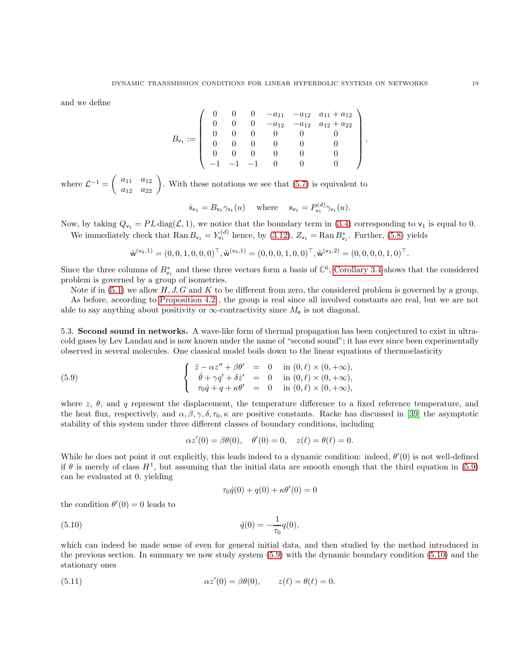and we define

$$
B_{\mathsf{v}_1}:=\left(\begin{array}{cccccc} 0 & 0 & 0 & -a_{11} & -a_{12} & a_{11}+a_{12} \\ 0 & 0 & 0 & -a_{12} & -a_{12} & a_{12}+a_{22} \\ 0 & 0 & 0 & 0 & 0 & 0 \\ 0 & 0 & 0 & 0 & 0 & 0 \\ 0 & 0 & 0 & 0 & 0 & 0 \\ -1 & -1 & -1 & 0 & 0 & 0 \end{array}\right),
$$

where  $\mathcal{L}^{-1} = \begin{pmatrix} a_{11} & a_{12} \\ a_{12} & a_{22} \end{pmatrix}$ . With these notations we see that [\(5.7\)](#page-17-0) is equivalent to

$$
\dot{\mathbf{x}}_{\mathsf{v}_1} = B_{\mathsf{v}_1} \gamma_{\mathsf{v}_1}(u) \quad \text{where} \quad \mathbf{x}_{\mathsf{v}_1} = P_{\mathsf{v}_1}^{(d)} \gamma_{\mathsf{v}_1}(u).
$$

Now, by taking  $Q_{v_1} = PL \text{ diag}(\mathcal{L}, 1)$ , we notice that the boundary term in [\(3.4\)](#page-4-3) corresponding to  $v_1$  is equal to 0. We immediately check that  $\text{Ran } B_{\nu_1} = Y_{\nu_1}^{(d)}$  hence, by [\(3.12\)](#page-5-2),  $Z_{\nu_1} = \text{Ran } B_{\nu_1}^*$ . Further, [\(5.8\)](#page-17-1) yields

$$
\tilde{\mathbf{w}}^{(\mathsf{v}_2,1)} = (0,0,1,0,0,0)^\top, \tilde{\mathbf{w}}^{(\mathsf{v}_3,1)} = (0,0,0,1,0,0)^\top, \tilde{\mathbf{w}}^{(\mathsf{v}_3,2)} = (0,0,0,0,1,0)^\top.
$$

Since the three columns of  $B_{\nu_1}^*$  and these three vectors form a basis of  $\mathbb{C}^6$ , [Corollary 3.4](#page-6-3) shows that the considered problem is governed by a group of isometries.

Note if in  $(5.1)$  we allow H, J, G and K to be different from zero, the considered problem is governed by a group.

As before, according to [Proposition 4.2](#page-12-1) , the group is real since all involved constants are real, but we are not able to say anything about positivity or  $\infty$ -contractivity since  $M_{\rm e}$  is not diagonal.

<span id="page-18-0"></span>5.3. Second sound in networks. A wave-like form of thermal propagation has been conjectured to exist in ultracold gases by Lev Landau and is now known under the name of "second sound"; it has ever since been experimentally observed in several molecules. One classical model boils down to the linear equations of thermoelasticity

(5.9) 
$$
\begin{cases} \n\ddot{z} - \alpha z'' + \beta \theta' = 0 & \text{in } (0, \ell) \times (0, +\infty), \\
\dot{\theta} + \gamma q' + \delta \dot{z}' = 0 & \text{in } (0, \ell) \times (0, +\infty), \\
\tau_0 \dot{q} + q + \kappa \theta' = 0 & \text{in } (0, \ell) \times (0, +\infty),\n\end{cases}
$$

where  $z, \theta$ , and q represent the displacement, the temperature difference to a fixed reference temperature, and the heat flux, respectively, and  $\alpha, \beta, \gamma, \delta, \tau_0, \kappa$  are positive constants. Racke has discussed in [\[39\]](#page-24-6) the asymptotic stability of this system under three different classes of boundary conditions, including

<span id="page-18-1"></span>
$$
\alpha z'(0) = \beta \theta(0), \quad \theta'(0) = 0, \quad z(\ell) = \theta(\ell) = 0.
$$

While he does not point it out explicitly, this leads indeed to a dynamic condition: indeed,  $\theta'(0)$  is not well-defined if  $\theta$  is merely of class  $H^1$ , but assuming that the initial data are smooth enough that the third equation in [\(5.9\)](#page-18-1) can be evaluated at 0, yielding

<span id="page-18-3"></span><span id="page-18-2"></span>
$$
\tau_0 \dot{q}(0) + q(0) + \kappa \theta'(0) = 0
$$

the condition  $\theta'(0) = 0$  leads to

(5.10) 
$$
\dot{q}(0) = -\frac{1}{\tau_0}q(0),
$$

which can indeed be made sense of even for general initial data, and then studied by the method introduced in the previous section. In summary we now study system [\(5.9\)](#page-18-1) with the dynamic boundary condition [\(5.10\)](#page-18-2) and the stationary ones

(5.11) 
$$
\alpha z'(0) = \beta \theta(0), \qquad z(\ell) = \theta(\ell) = 0.
$$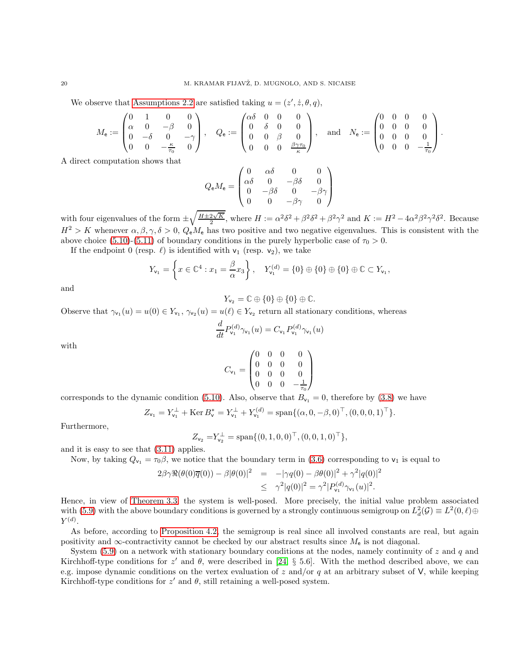We observe that [Assumptions 2.2](#page-1-1) are satisfied taking  $u = (z', \dot{z}, \theta, q)$ ,

$$
M_{\mathsf{e}}:=\begin{pmatrix} 0 & 1 & 0 & 0 \\ \alpha & 0 & -\beta & 0 \\ 0 & -\delta & 0 & -\gamma \\ 0 & 0 & -\frac{\kappa}{\tau_0} & 0 \end{pmatrix}, \quad Q_{\mathsf{e}}:=\begin{pmatrix} \alpha\delta & 0 & 0 & 0 \\ 0 & \delta & 0 & 0 \\ 0 & 0 & \beta & 0 \\ 0 & 0 & 0 & \frac{\beta\gamma\tau_0}{\kappa} \end{pmatrix}, \quad \text{and} \quad N_{\mathsf{e}}:=\begin{pmatrix} 0 & 0 & 0 & 0 \\ 0 & 0 & 0 & 0 \\ 0 & 0 & 0 & 0 \\ 0 & 0 & 0 & -\frac{1}{\tau_0} \end{pmatrix}.
$$

A direct computation shows that

$$
Q_{\rm e} M_{\rm e} = \begin{pmatrix} 0 & \alpha\delta & 0 & 0 \\ \alpha\delta & 0 & -\beta\delta & 0 \\ 0 & -\beta\delta & 0 & -\beta\gamma \\ 0 & 0 & -\beta\gamma & 0 \end{pmatrix}
$$

with four eigenvalues of the form  $\pm \sqrt{\frac{H \pm 2\sqrt{K}}{2}}$ , where  $H := \alpha^2 \delta^2 + \beta^2 \delta^2 + \beta^2 \gamma^2$  and  $K := H^2 - 4\alpha^2 \beta^2 \gamma^2 \delta^2$ . Because  $H^2 > K$  whenever  $\alpha, \beta, \gamma, \delta > 0$ ,  $Q_e M_e$  has two positive and two negative eigenvalues. This is consistent with the above choice [\(5.10\)](#page-18-2)-[\(5.11\)](#page-18-3) of boundary conditions in the purely hyperbolic case of  $\tau_0 > 0$ .

If the endpoint 0 (resp.  $\ell$ ) is identified with  $v_1$  (resp.  $v_2$ ), we take

$$
Y_{v_1} = \left\{ x \in \mathbb{C}^4 : x_1 = \frac{\beta}{\alpha} x_3 \right\}, \quad Y_{v_1}^{(d)} = \{0\} \oplus \{0\} \oplus \{0\} \oplus \mathbb{C} \subset Y_{v_1},
$$

and

$$
Y_{\mathsf{v}_2}=\mathbb{C}\oplus\{0\}\oplus\{0\}\oplus\mathbb{C}.
$$

Observe that  $\gamma_{v_1}(u) = u(0) \in Y_{v_1}, \gamma_{v_2}(u) = u(\ell) \in Y_{v_2}$  return all stationary conditions, whereas

$$
\frac{d}{dt}P_{\mathsf{v}_1}^{(d)}\gamma_{\mathsf{v}_1}(u) = C_{\mathsf{v}_1}P_{\mathsf{v}_1}^{(d)}\gamma_{\mathsf{v}_1}(u)
$$

with

$$
C_{\text{v}_1} = \begin{pmatrix} 0 & 0 & 0 & 0 \\ 0 & 0 & 0 & 0 \\ 0 & 0 & 0 & 0 \\ 0 & 0 & 0 & -\frac{1}{\tau_0} \end{pmatrix}
$$

corresponds to the dynamic condition [\(5.10\)](#page-18-2). Also, observe that  $B_{\nu_1} = 0$ , therefore by [\(3.8\)](#page-4-4) we have

$$
Z_{\mathsf{v}_1} = Y_{\mathsf{v}_1}^{\perp} + \text{Ker } B_{\mathsf{v}}^* = Y_{\mathsf{v}_1}^{\perp} + Y_{\mathsf{v}_1}^{(d)} = \text{span}\{(\alpha, 0, -\beta, 0)^{\top}, (0, 0, 0, 1)^{\top}\}.
$$

Furthermore,

$$
Z_{\mathsf{v}_2} = Y_{\mathsf{v}_2}^{\perp} = \text{span}\{(0, 1, 0, 0)^{\top}, (0, 0, 1, 0)^{\top}\},
$$

and it is easy to see that [\(3.11\)](#page-4-0) applies.

Now, by taking  $Q_{v_1} = \tau_0 \beta$ , we notice that the boundary term in [\(3.6\)](#page-4-1) corresponding to  $v_1$  is equal to

$$
2\beta\gamma \Re(\theta(0)\overline{q}(0)) - \beta |\theta(0)|^2 = -|\gamma q(0) - \beta \theta(0)|^2 + \gamma^2 |q(0)|^2
$$
  
 
$$
\leq \gamma^2 |q(0)|^2 = \gamma^2 |P_{\mathsf{v}_1}^{(d)} \gamma_{\mathsf{v}_1}(u)|^2.
$$

Hence, in view of [Theorem 3.3,](#page-5-0) the system is well-posed. More precisely, the initial value problem associated with [\(5.9\)](#page-18-1) with the above boundary conditions is governed by a strongly continuous semigroup on  $L^2_d(\mathcal{G}) \equiv L^2(0,\ell) \oplus L^2(0,\ell)$  $Y^{(d)}$ .

As before, according to [Proposition 4.2,](#page-12-1) the semigroup is real since all involved constants are real, but again positivity and  $\infty$ -contractivity cannot be checked by our abstract results since  $M_e$  is not diagonal.

System  $(5.9)$  on a network with stationary boundary conditions at the nodes, namely continuity of z and q and Kirchhoff-type conditions for z' and  $\theta$ , were described in [\[24,](#page-23-0) § 5.6]. With the method described above, we can e.g. impose dynamic conditions on the vertex evaluation of z and/or q at an arbitrary subset of  $V$ , while keeping Kirchhoff-type conditions for  $z'$  and  $\theta$ , still retaining a well-posed system.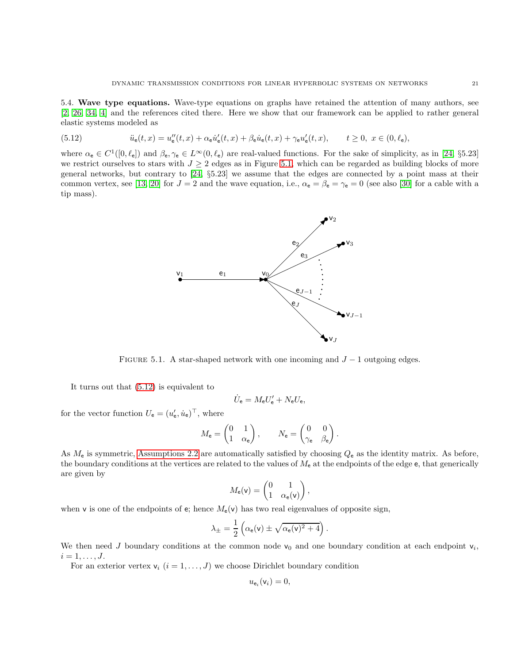5.4. Wave type equations. Wave-type equations on graphs have retained the attention of many authors, see [\[2,](#page-23-23) [26,](#page-24-15) [34,](#page-24-16) [4\]](#page-23-24) and the references cited there. Here we show that our framework can be applied to rather general elastic systems modeled as

<span id="page-20-1"></span>(5.12) 
$$
\ddot{u}_{\mathbf{e}}(t,x) = u''_{\mathbf{e}}(t,x) + \alpha_{\mathbf{e}} \dot{u}'_{\mathbf{e}}(t,x) + \beta_{\mathbf{e}} \dot{u}_{\mathbf{e}}(t,x) + \gamma_{\mathbf{e}} u'_{\mathbf{e}}(t,x), \qquad t \ge 0, \ x \in (0,\ell_{\mathbf{e}}),
$$

<span id="page-20-0"></span>where  $\alpha_{e} \in C^{1}([0,\ell_{e}])$  and  $\beta_{e}, \gamma_{e} \in L^{\infty}(0,\ell_{e})$  are real-valued functions. For the sake of simplicity, as in [\[24,](#page-23-0) §5.23] we restrict ourselves to stars with  $J \geq 2$  edges as in Figure [5.1,](#page-20-0) which can be regarded as building blocks of more general networks, but contrary to [\[24,](#page-23-0) §5.23] we assume that the edges are connected by a point mass at their common vertex, see [\[13,](#page-23-6) [20\]](#page-23-5) for  $J = 2$  and the wave equation, i.e.,  $\alpha_e = \beta_e = \gamma_e = 0$  (see also [\[30\]](#page-24-4) for a cable with a tip mass).



FIGURE 5.1. A star-shaped network with one incoming and  $J-1$  outgoing edges.

It turns out that [\(5.12\)](#page-20-1) is equivalent to

$$
\dot{U}_{\mathsf{e}} = M_{\mathsf{e}} U_{\mathsf{e}}' + N_{\mathsf{e}} U_{\mathsf{e}},
$$

for the vector function  $U_{e} = (u'_{e}, \dot{u}_{e})^{\dagger}$ , where

$$
M_{\rm e} = \begin{pmatrix} 0 & 1 \\ 1 & \alpha_{\rm e} \end{pmatrix}, \qquad N_{\rm e} = \begin{pmatrix} 0 & 0 \\ \gamma_{\rm e} & \beta_{\rm e} \end{pmatrix}.
$$

As  $M_e$  is symmetric, [Assumptions 2.2](#page-1-1) are automatically satisfied by choosing  $Q_e$  as the identity matrix. As before, the boundary conditions at the vertices are related to the values of  $M<sub>e</sub>$  at the endpoints of the edge e, that generically are given by

$$
M_{\mathsf{e}}(\mathsf{v}) = \begin{pmatrix} 0 & 1 \\ 1 & \alpha_{\mathsf{e}}(\mathsf{v}) \end{pmatrix},
$$

when v is one of the endpoints of e; hence  $M_e(v)$  has two real eigenvalues of opposite sign,

$$
\lambda_{\pm} = \frac{1}{2} \left( \alpha_{e}(\mathsf{v}) \pm \sqrt{\alpha_{e}(\mathsf{v})^2 + 4} \right).
$$

We then need J boundary conditions at the common node  $v_0$  and one boundary condition at each endpoint  $v_i$ ,  $i=1,\ldots,J.$ 

For an exterior vertex  $v_i$   $(i = 1, ..., J)$  we choose Dirichlet boundary condition

$$
u_{\mathsf{e}_i}(\mathsf{v}_i)=0,
$$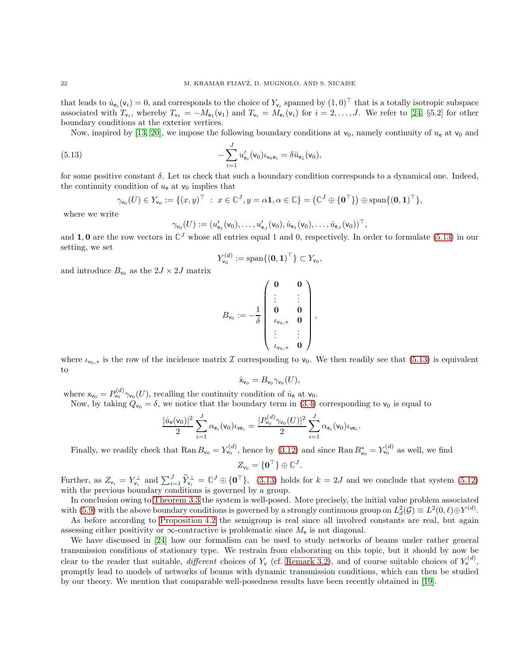that leads to  $\dot{u}_{e_i}(v_i) = 0$ , and corresponds to the choice of  $Y_{v_i}$  spanned by  $(1,0)^\perp$  that is a totally isotropic subspace associated with  $T_{\nu_i}$ , whereby  $T_{\nu_1} = -M_{e_1}(\nu_1)$  and  $T_{\nu_i} = M_{e_i}(\nu_i)$  for  $i = 2, \ldots, J$ . We refer to [\[24,](#page-23-0) §5.2] for other boundary conditions at the exterior vertices.

Now, inspired by [\[13,](#page-23-6) [20\]](#page-23-5), we impose the following boundary conditions at  $v_0$ , namely continuity of  $u_e$  at  $v_0$  and

(5.13) 
$$
-\sum_{i=1}^{J} u'_{e_i}(\mathsf{v}_0) \iota_{\mathsf{v}_0 e_i} = \delta \ddot{u}_{e_1}(\mathsf{v}_0),
$$

for some positive constant  $\delta$ . Let us check that such a boundary condition corresponds to a dynamical one. Indeed, the continuity condition of  $u_{e}$  at  $v_{0}$  implies that

$$
\gamma_{v_0}(U) \in Y_{v_0} := \{ (x, y)^\top : x \in \mathbb{C}^J, y = \alpha \mathbf{1}, \alpha \in \mathbb{C} \} = \left( \mathbb{C}^J \oplus \{ \mathbf{0}^\top \} \right) \oplus \text{span}\{ (\mathbf{0}, \mathbf{1})^\top \},
$$

where we write

<span id="page-21-0"></span>
$$
\gamma_{\mathsf{v}_0}(U) := (u'_{\mathsf{e}_1}(\mathsf{v}_0), \ldots, u'_{\mathsf{e}_J}(\mathsf{v}_0), \dot{u}_{\mathsf{e}_1}(\mathsf{v}_0), \ldots, \dot{u}_{\mathsf{e}_J}(\mathsf{v}_0))^\top,
$$

and 1,0 are the row vectors in  $\mathbb{C}^J$  whose all entries equal 1 and 0, respectively. In order to formulate [\(5.13\)](#page-21-0) in our setting, we set

$$
Y_{\mathsf{v}_0}^{(d)}:=\mathrm{span}\{(\mathbf{0},\mathbf{1})^\top\}\subset Y_{\mathsf{v}_0},
$$

and introduce  $B_{\nu_0}$  as the  $2J \times 2J$  matrix

$$
B_{\mathsf{v}_0} := -\frac{1}{\delta} \left( \begin{array}{ccc} \mathbf{0} & \mathbf{0} \\ \vdots & \vdots \\ \mathbf{0} & \mathbf{0} \\ \iota_{\mathsf{v}_0,*} & \mathbf{0} \\ \vdots & \vdots \\ \iota_{\mathsf{v}_0,*} & \mathbf{0} \end{array} \right),
$$

where  $\iota_{\mathbf{v}_{0,*}}$  is the row of the incidence matrix  $\mathcal I$  corresponding to  $\mathbf{v}_0$ . We then readily see that [\(5.13\)](#page-21-0) is equivalent to

$$
\dot{\mathsf{x}}_{\mathsf{v}_0}=B_{\mathsf{v}_0}\gamma_{\mathsf{v}_0}(U),
$$

where  $x_{v_0} = P_{v_0}^{(d)} \gamma_{v_0}(U)$ , recalling the continuity condition of  $\dot{u}_e$  at  $v_0$ .

Now, by taking  $Q_{\mathsf{v}_0} = \delta$ , we notice that the boundary term in [\(3.4\)](#page-4-3) corresponding to  $\mathsf{v}_0$  is equal to

$$
\frac{|\dot{u}_{\mathsf{e}}(\mathsf{v}_0)|^2}{2}\sum_{i=1}^J \alpha_{\mathsf{e}_i}(\mathsf{v}_0)\iota_{\mathsf{ve}_i} = \frac{|P_{\mathsf{v}_0}^{(d)}\gamma_{\mathsf{v}_0}(U)|^2}{2}\sum_{i=1}^J \alpha_{\mathsf{e}_i}(\mathsf{v}_0)\iota_{\mathsf{ve}_i}.
$$

Finally, we readily check that  $\text{Ran } B_{\nu_0} = Y_{\nu_0}^{(d)}$ , hence by [\(3.12\)](#page-5-2) and since  $\text{Ran } B_{\nu_0}^* = Y_{\nu_0}^{(d)}$  as well, we find

$$
Z_{\mathbf{v}_0} = \{\mathbf{0}^\top\} \oplus \mathbb{C}^J.
$$

Further, as  $Z_{\mathsf{v}_i} = Y_{\mathsf{v}_i}^{\perp}$  and  $\sum_{i=1}^J \widetilde{Y}_{\mathsf{v}_i}^{\perp} = \mathbb{C}^J \oplus \{\mathbf{0}^\top\}$ , [\(3.13\)](#page-5-1) holds for  $k = 2J$  and we conclude that system [\(5.12\)](#page-20-1) with the previous boundary conditions is governed by a group.

In conclusion owing to [Theorem 3.3](#page-5-0) the system is well-posed. More precisely, the initial value problem associated with [\(5.9\)](#page-18-1) with the above boundary conditions is governed by a strongly continuous group on  $L^2_d(\mathcal{G}) \equiv L^2(0,\ell) \oplus Y^{(d)}$ .

As before according to [Proposition 4.2](#page-12-1) the semigroup is real since all involved constants are real, but again assessing either positivity or  $\infty$ -contractive is problematic since  $M_e$  is not diagonal.

We have discussed in [\[24\]](#page-23-0) how our formalism can be used to study networks of beams under rather general transmission conditions of stationary type. We restrain from elaborating on this topic, but it should by now be clear to the reader that suitable, *different* choices of  $Y_{\mathsf{v}}$  (cf. [Remark 3.2\)](#page-5-3), and of course suitable choices of  $Y_{\mathsf{v}}^{(d)}$ , promptly lead to models of networks of beams with dynamic transmission conditions, which can then be studied by our theory. We mention that comparable well-posedness results have been recently obtained in [\[19\]](#page-23-8).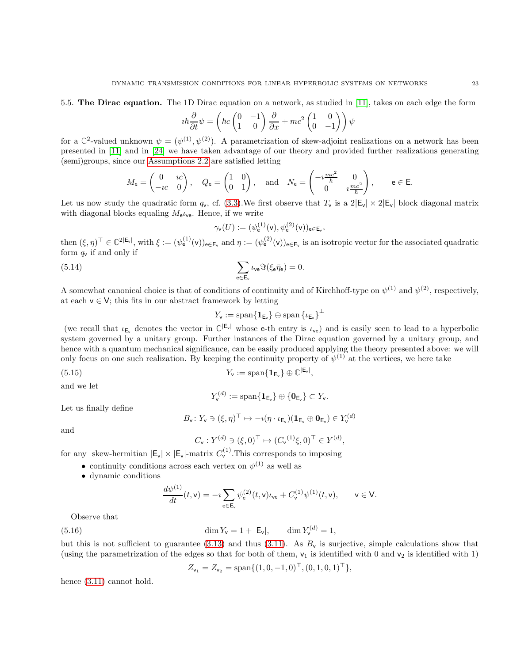<span id="page-22-0"></span>5.5. The Dirac equation. The 1D Dirac equation on a network, as studied in [\[11\]](#page-23-10), takes on each edge the form

$$
i\hbar \frac{\partial}{\partial t} \psi = \left(\hbar c \begin{pmatrix} 0 & -1 \\ 1 & 0 \end{pmatrix} \frac{\partial}{\partial x} + mc^2 \begin{pmatrix} 1 & 0 \\ 0 & -1 \end{pmatrix} \right) \psi
$$

for a  $\mathbb{C}^2$ -valued unknown  $\psi = (\psi^{(1)}, \psi^{(2)})$ . A parametrization of skew-adjoint realizations on a network has been presented in [\[11\]](#page-23-10) and in [\[24\]](#page-23-0) we have taken advantage of our theory and provided further realizations generating (semi)groups, since our [Assumptions 2.2](#page-1-1) are satisfied letting

$$
M_{\mathbf{e}} = \begin{pmatrix} 0 & ic \\ -ic & 0 \end{pmatrix}, \quad Q_{\mathbf{e}} = \begin{pmatrix} 1 & 0 \\ 0 & 1 \end{pmatrix}, \quad \text{and} \quad N_{\mathbf{e}} = \begin{pmatrix} -i\frac{mc^2}{\hbar} & 0 \\ 0 & i\frac{mc^2}{\hbar} \end{pmatrix}, \qquad \mathbf{e} \in \mathsf{E}.
$$

Let us now study the quadratic form  $q_v$ , cf. [\(3.3\)](#page-3-3).We first observe that  $T_v$  is a  $2|E_v| \times 2|E_v|$  block diagonal matrix with diagonal blocks equaling  $M_{e} \iota_{ve}$ . Hence, if we write

$$
\gamma_{\mathsf{v}}(U):=(\psi_{\mathsf{e}}^{(1)}(\mathsf{v}),\psi_{\mathsf{e}}^{(2)}(\mathsf{v}))_{\mathsf{e}\in\mathsf{E}_{\mathsf{v}}},
$$

then  $(\xi, \eta)^\top \in \mathbb{C}^{2|\mathsf{E}_{\mathsf{v}}|}$ , with  $\xi := (\psi_{\mathsf{e}}^{(1)}(\mathsf{v}))_{\mathsf{e}\in \mathsf{E}_{\mathsf{v}}}$  and  $\eta := (\psi_{\mathsf{e}}^{(2)}(\mathsf{v}))_{\mathsf{e}\in \mathsf{E}_{\mathsf{v}}}$  is an isotropic vector for the associated quadratic form  $q_v$  if and only if

(5.14) 
$$
\sum_{\mathbf{e}\in \mathsf{E}_{\mathsf{v}}} \iota_{\mathsf{ve}} \Im(\xi_{\mathbf{e}} \bar{\eta}_{\mathbf{e}}) = 0.
$$

A somewhat canonical choice is that of conditions of continuity and of Kirchhoff-type on  $\psi^{(1)}$  and  $\psi^{(2)}$ , respectively, at each  $v \in V$ ; this fits in our abstract framework by letting

$$
Y_\mathsf{v} := \mathrm{span}\{\mathbf{1}_{\mathsf{E}_\mathsf{v}}\} \oplus \mathrm{span}\left\{\iota_{\mathsf{E}_\mathsf{v}}\right\}^\perp
$$

(we recall that  $\iota_{\mathsf{E}_{\mathsf{v}}}$  denotes the vector in  $\mathbb{C}^{|\mathsf{E}_{\mathsf{v}}|}$  whose e-th entry is  $\iota_{\mathsf{ve}}$ ) and is easily seen to lead to a hyperbolic system governed by a unitary group. Further instances of the Dirac equation governed by a unitary group, and hence with a quantum mechanical significance, can be easily produced applying the theory presented above: we will only focus on one such realization. By keeping the continuity property of  $\psi^{(1)}$  at the vertices, we here take

(5.15) 
$$
Y_{\mathsf{v}} := \mathrm{span}\{\mathbf{1}_{\mathsf{E}_{\mathsf{v}}}\}\oplus\mathbb{C}^{|\mathsf{E}_{\mathsf{v}}|},
$$

and we let

$$
Y_{\mathsf{v}}^{(d)}:=\operatorname{span}\{\mathbf{1}_{\mathsf{E}_{\mathsf{v}}}\}\oplus\{\mathbf{0}_{\mathsf{E}_{\mathsf{v}}}\}\subset Y_{\mathsf{v}}.
$$

Let us finally define

$$
B_{\mathsf{v}}\colon Y_{\mathsf{v}}\ni(\xi,\eta)^{\top}\mapsto -\imath(\eta\cdot\iota_{\mathsf{E}_{\mathsf{v}}})(\mathbf{1}_{\mathsf{E}_{\mathsf{v}}}\oplus\mathbf{0}_{\mathsf{E}_{\mathsf{v}}})\in Y_{\mathsf{v}}^{(d)}
$$

and

$$
C_{\mathsf{v}}: Y^{(d)} \ni (\xi, 0)^{\top} \mapsto (C_{\mathsf{v}}^{(1)} \xi, 0)^{\top} \in Y^{(d)},
$$

for any skew-hermitian  $|\mathsf{E}_{\mathsf{v}}| \times |\mathsf{E}_{\mathsf{v}}|$ -matrix  $C_{\mathsf{v}}^{(1)}$ . This corresponds to imposing

- continuity conditions across each vertex on  $\psi^{(1)}$  as well as
- dynamic conditions

$$
\frac{d\psi^{(1)}}{dt}(t,\mathsf{v})=-i\sum_{\mathsf{e}\in\mathsf{E}_{\mathsf{v}}}\psi^{(2)}_{\mathsf{e}}(t,\mathsf{v})\iota_{\mathsf{ve}}+C_{\mathsf{v}}^{(1)}\psi^{(1)}(t,\mathsf{v}),\qquad\mathsf{v}\in\mathsf{V}.
$$

Observe that

(5.16) 
$$
\dim Y_{\mathsf{v}} = 1 + |\mathsf{E}_{\mathsf{v}}|, \qquad \dim Y_{\mathsf{v}}^{(d)} = 1,
$$

but this is not sufficient to guarantee [\(3.13\)](#page-5-1) and thus [\(3.11\)](#page-4-0). As  $B_{\mathsf{v}}$  is surjective, simple calculations show that (using the parametrization of the edges so that for both of them,  $v_1$  is identified with 0 and  $v_2$  is identified with 1)

$$
Z_{\mathsf{v}_1}=Z_{\mathsf{v}_2}=\mathrm{span}\{(1,0,-1,0)^{\top},(0,1,0,1)^{\top}\},
$$

hence  $(3.11)$  cannot hold.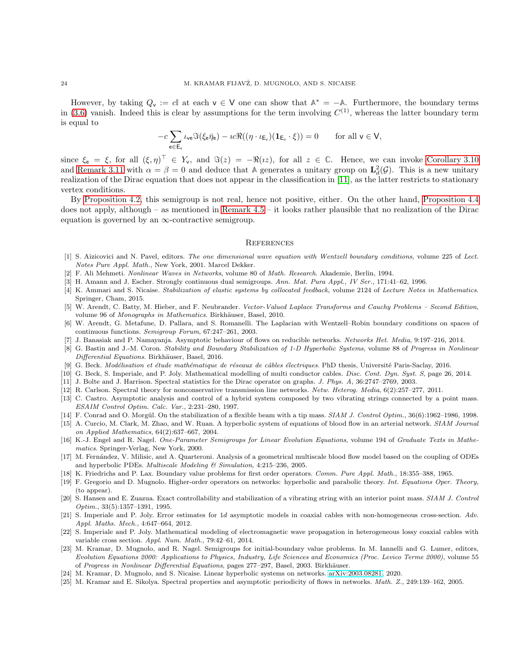However, by taking  $Q_v := c \mathbb{I}$  at each  $v \in V$  one can show that  $A^* = -A$ . Furthermore, the boundary terms in [\(3.6\)](#page-4-1) vanish. Indeed this is clear by assumptions for the term involving  $C^{(1)}$ , whereas the latter boundary term is equal to

$$
-c\sum_{\mathbf{e}\in \mathsf{E}_\mathsf{v}} \iota_\mathsf{ve} \Im(\xi_\mathbf{e} \bar{\eta}_\mathbf{e}) - \iota c \Re((\eta \cdot \iota_{\mathsf{E}_\mathsf{v}}) (\mathbf{1}_{\mathsf{E}_\mathsf{v}} \cdot \xi)) = 0 \qquad \text{for all } \mathsf{v} \in \mathsf{V},
$$

since  $\xi_e = \xi$ , for all  $(\xi, \eta)^T \in Y_v$ , and  $\Im(z) = -\Re(iz)$ , for all  $z \in \mathbb{C}$ . Hence, we can invoke [Corollary 3.10](#page-10-0) and [Remark 3.11](#page-10-2) with  $\alpha = \beta = 0$  and deduce that A generates a unitary group on  $\mathbf{L}_d^2(\mathcal{G})$ . This is a new unitary realization of the Dirac equation that does not appear in the classification in [\[11\]](#page-23-10), as the latter restricts to stationary vertex conditions.

By [Proposition 4.2,](#page-12-1) this semigroup is not real, hence not positive, either. On the other hand, [Proposition 4.4](#page-13-2) does not apply, although – as mentioned in [Remark 4.5](#page-14-3) – it looks rather plausible that no realization of the Dirac equation is governed by an  $\infty$ -contractive semigroup.

#### **REFERENCES**

- <span id="page-23-12"></span>[1] S. Aizicovici and N. Pavel, editors. The one dimensional wave equation with Wentzell boundary conditions, volume 225 of Lect. Notes Pure Appl. Math., New York, 2001. Marcel Dekker.
- <span id="page-23-23"></span><span id="page-23-11"></span>[2] F. Ali Mehmeti. Nonlinear Waves in Networks, volume 80 of Math. Research. Akademie, Berlin, 1994.
- <span id="page-23-24"></span>[3] H. Amann and J. Escher. Strongly continuous dual semigroups. Ann. Mat. Pura Appl., IV Ser., 171:41–62, 1996.
- [4] K. Ammari and S. Nicaise. Stabilization of elastic systems by collocated feedback, volume 2124 of Lecture Notes in Mathematics. Springer, Cham, 2015.
- <span id="page-23-17"></span>[5] W. Arendt, C. Batty, M. Hieber, and F. Neubrander. Vector-Valued Laplace Transforms and Cauchy Problems – Second Edition, volume 96 of Monographs in Mathematics. Birkhäuser, Basel, 2010.
- <span id="page-23-13"></span>[6] W. Arendt, G. Metafune, D. Pallara, and S. Romanelli. The Laplacian with Wentzell–Robin boundary conditions on spaces of continuous functions. Semigroup Forum, 67:247–261, 2003.
- <span id="page-23-19"></span><span id="page-23-15"></span>[7] J. Banasiak and P. Namayanja. Asymptotic behaviour of flows on reducible networks. Networks Het. Media, 9:197–216, 2014.
- [8] G. Bastin and J.-M. Coron. Stability and Boundary Stabilization of 1-D Hyperbolic Systems, volume 88 of Progress in Nonlinear Differential Equations. Birkhäuser, Basel, 2016.
- <span id="page-23-4"></span><span id="page-23-3"></span>[9] G. Beck. Modélisation et étude mathématique de réseaux de câbles électriques. PhD thesis, Université Paris-Saclay, 2016.
- <span id="page-23-10"></span>[10] G. Beck, S. Imperiale, and P. Joly. Mathematical modelling of multi conductor cables. Disc. Cont. Dyn. Syst. S, page 26, 2014.
- <span id="page-23-22"></span>[11] J. Bolte and J. Harrison. Spectral statistics for the Dirac operator on graphs. J. Phys. A, 36:2747–2769, 2003.
- <span id="page-23-6"></span>[12] R. Carlson. Spectral theory for nonconservative transmission line networks. Netw. Heterog. Media, 6(2):257–277, 2011.
- [13] C. Castro. Asymptotic analysis and control of a hybrid system composed by two vibrating strings connected by a point mass. ESAIM Control Optim. Calc. Var., 2:231–280, 1997.
- <span id="page-23-7"></span><span id="page-23-1"></span>[14] F. Conrad and O. Morgül. On the stabilization of a flexible beam with a tip mass. SIAM J. Control Optim., 36(6):1962-1986, 1998.
- [15] A. Curcio, M. Clark, M. Zhao, and W. Ruan. A hyperbolic system of equations of blood flow in an arterial network. SIAM Journal on Applied Mathematics, 64(2):637–667, 2004.
- <span id="page-23-16"></span>[16] K.-J. Engel and R. Nagel. One-Parameter Semigroups for Linear Evolution Equations, volume 194 of Graduate Texts in Mathematics. Springer-Verlag, New York, 2000.
- <span id="page-23-2"></span>[17] M. Fernández, V. Milisic, and A. Quarteroni. Analysis of a geometrical multiscale blood flow model based on the coupling of ODEs and hyperbolic PDEs. Multiscale Modeling & Simulation, 4:215–236, 2005.
- <span id="page-23-9"></span><span id="page-23-8"></span>[18] K. Friedrichs and P. Lax. Boundary value problems for first order operators. Comm. Pure Appl. Math., 18:355-388, 1965.
- [19] F. Gregorio and D. Mugnolo. Higher-order operators on networks: hyperbolic and parabolic theory. Int. Equations Oper. Theory, (to appear).
- <span id="page-23-5"></span>[20] S. Hansen and E. Zuazua. Exact controllability and stabilization of a vibrating string with an interior point mass. SIAM J. Control Optim., 33(5):1357–1391, 1995.
- <span id="page-23-21"></span>[21] S. Imperiale and P. Joly. Error estimates for 1d asymptotic models in coaxial cables with non-homogeneous cross-section. Adv. Appl. Maths. Mech., 4:647–664, 2012.
- <span id="page-23-20"></span>[22] S. Imperiale and P. Joly. Mathematical modeling of electromagnetic wave propagation in heterogeneous lossy coaxial cables with variable cross section. Appl. Num. Math., 79:42–61, 2014.
- <span id="page-23-14"></span>[23] M. Kramar, D. Mugnolo, and R. Nagel. Semigroups for initial-boundary value problems. In M. Iannelli and G. Lumer, editors, Evolution Equations 2000: Applications to Physics, Industry, Life Sciences and Economics (Proc. Levico Terme 2000), volume 55 of Progress in Nonlinear Differential Equations, pages 277–297, Basel, 2003. Birkhäuser.
- <span id="page-23-18"></span><span id="page-23-0"></span>[24] M. Kramar, D. Mugnolo, and S. Nicaise. Linear hyperbolic systems on networks. [arXiv:2003.08281,](http://arxiv.org/abs/2003.08281) 2020.
- [25] M. Kramar and E. Sikolya. Spectral properties and asymptotic periodicity of flows in networks. Math. Z., 249:139–162, 2005.